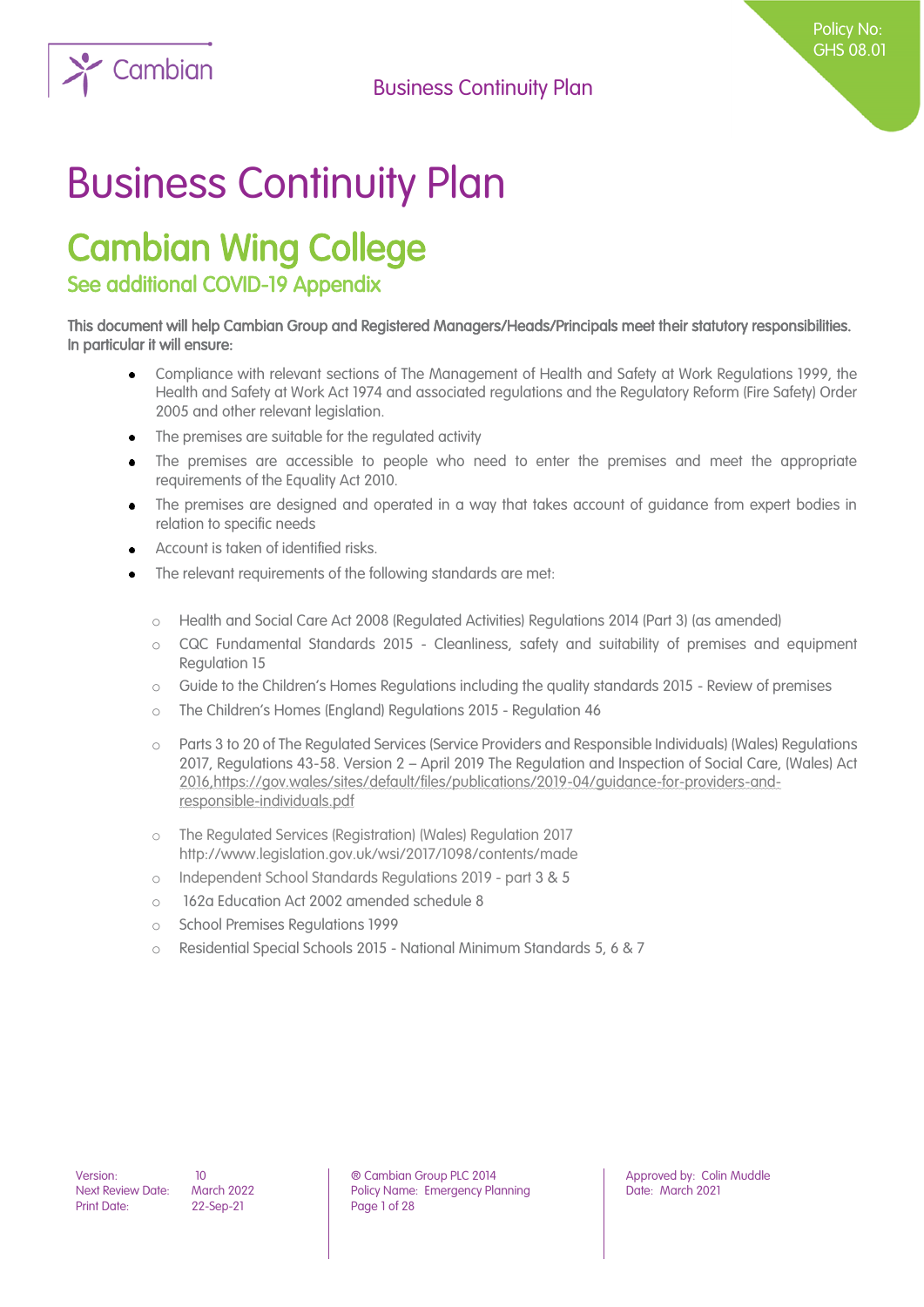

# Cambian Wing College

See additional COVID-19 Appendix

This document will help Cambian Group and Registered Managers/Heads/Principals meet their statutory responsibilities. In particular it will ensure:

- Compliance with relevant sections of The Management of Health and Safety at Work Regulations 1999, the  $\bullet$ Health and Safety at Work Act 1974 and associated regulations and the Regulatory Reform (Fire Safety) Order 2005 and other relevant legislation.
- The premises are suitable for the regulated activity
- The premises are accessible to people who need to enter the premises and meet the appropriate requirements of the Equality Act 2010.
- The premises are designed and operated in a way that takes account of guidance from expert bodies in relation to specific needs
- Account is taken of identified risks.
- The relevant requirements of the following standards are met:
	- o Health and Social Care Act 2008 (Regulated Activities) Regulations 2014 (Part 3) (as amended)
	- o CQC Fundamental Standards 2015 Cleanliness, safety and suitability of premises and equipment Regulation 15
	- o Guide to the Children's Homes Regulations including the quality standards 2015 Review of premises
	- o The Children's Homes (England) Regulations 2015 Regulation 46
	- o Parts 3 to 20 of The Regulated Services (Service Providers and Responsible Individuals) (Wales) Regulations 2017, Regulations 43-58. Version 2 – April 2019 The Regulation and Inspection of Social Care, (Wales) Act 2016[,https://gov.wales/sites/default/files/publications/2019-04/guidance-for-providers-and](https://gov.wales/sites/default/files/publications/2019-04/guidance-for-providers-and-responsible-individuals.pdf)[responsible-individuals.pdf](https://gov.wales/sites/default/files/publications/2019-04/guidance-for-providers-and-responsible-individuals.pdf)
	- o The Regulated Services (Registration) (Wales) Regulation 2017 <http://www.legislation.gov.uk/wsi/2017/1098/contents/made>
	- o Independent School Standards Regulations 2019 part 3 & 5
	- o 162a Education Act 2002 amended schedule 8
	- o School Premises Regulations 1999
	- o Residential Special Schools 2015 National Minimum Standards 5, 6 & 7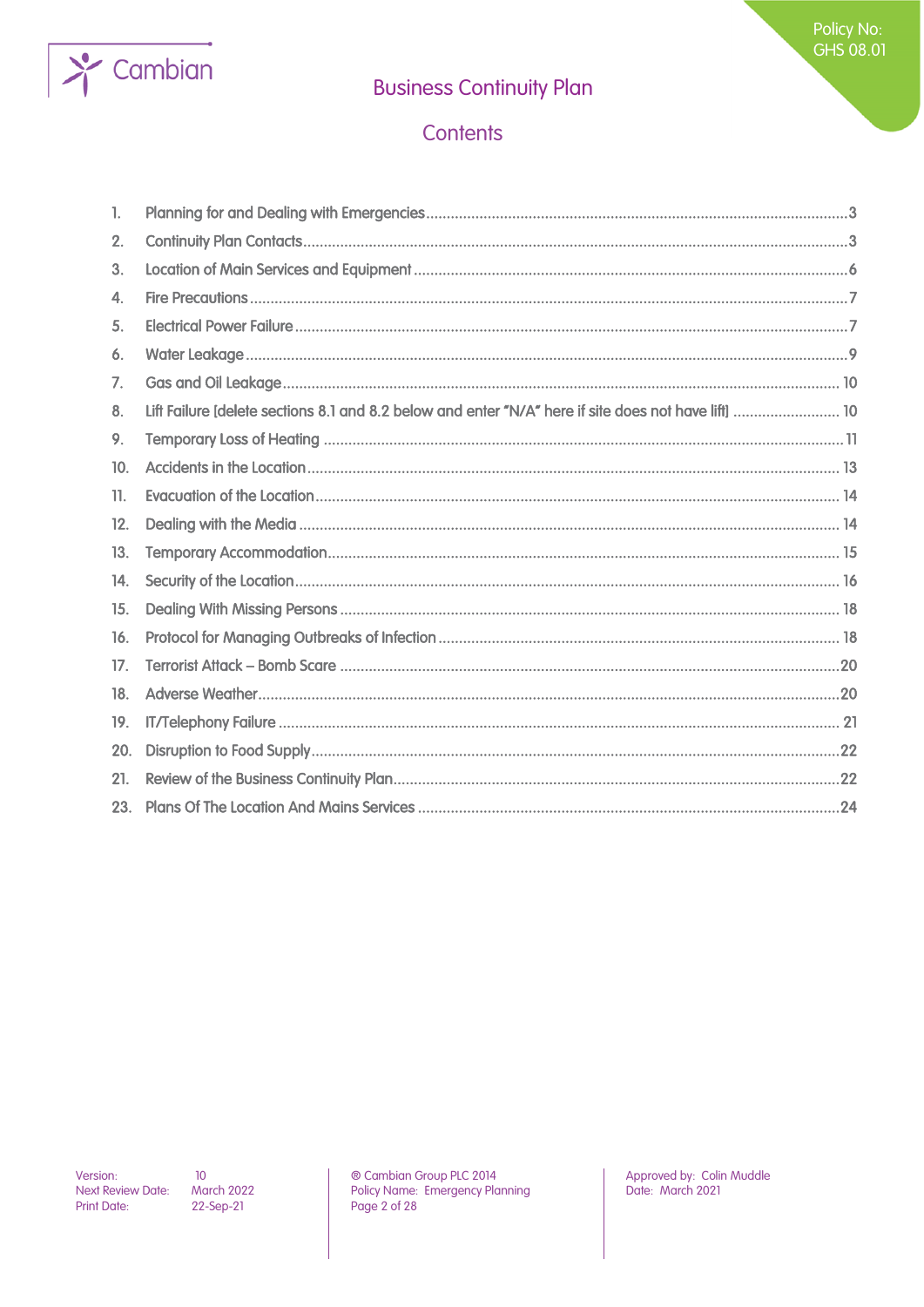

### Contents

| 1.  |                                                                                                      |  |
|-----|------------------------------------------------------------------------------------------------------|--|
| 2.  |                                                                                                      |  |
| 3.  |                                                                                                      |  |
| 4.  |                                                                                                      |  |
| 5.  |                                                                                                      |  |
| 6.  |                                                                                                      |  |
| 7.  |                                                                                                      |  |
| 8.  | Lift Failure [delete sections 8.1 and 8.2 below and enter "N/A" here if site does not have lift]  10 |  |
| 9.  |                                                                                                      |  |
| 10. |                                                                                                      |  |
| 11. |                                                                                                      |  |
| 12. |                                                                                                      |  |
| 13. |                                                                                                      |  |
| 14. |                                                                                                      |  |
| 15. |                                                                                                      |  |
| 16. |                                                                                                      |  |
| 17. |                                                                                                      |  |
| 18. |                                                                                                      |  |
| 19. |                                                                                                      |  |
| 20. |                                                                                                      |  |
| 21. |                                                                                                      |  |
| 23. |                                                                                                      |  |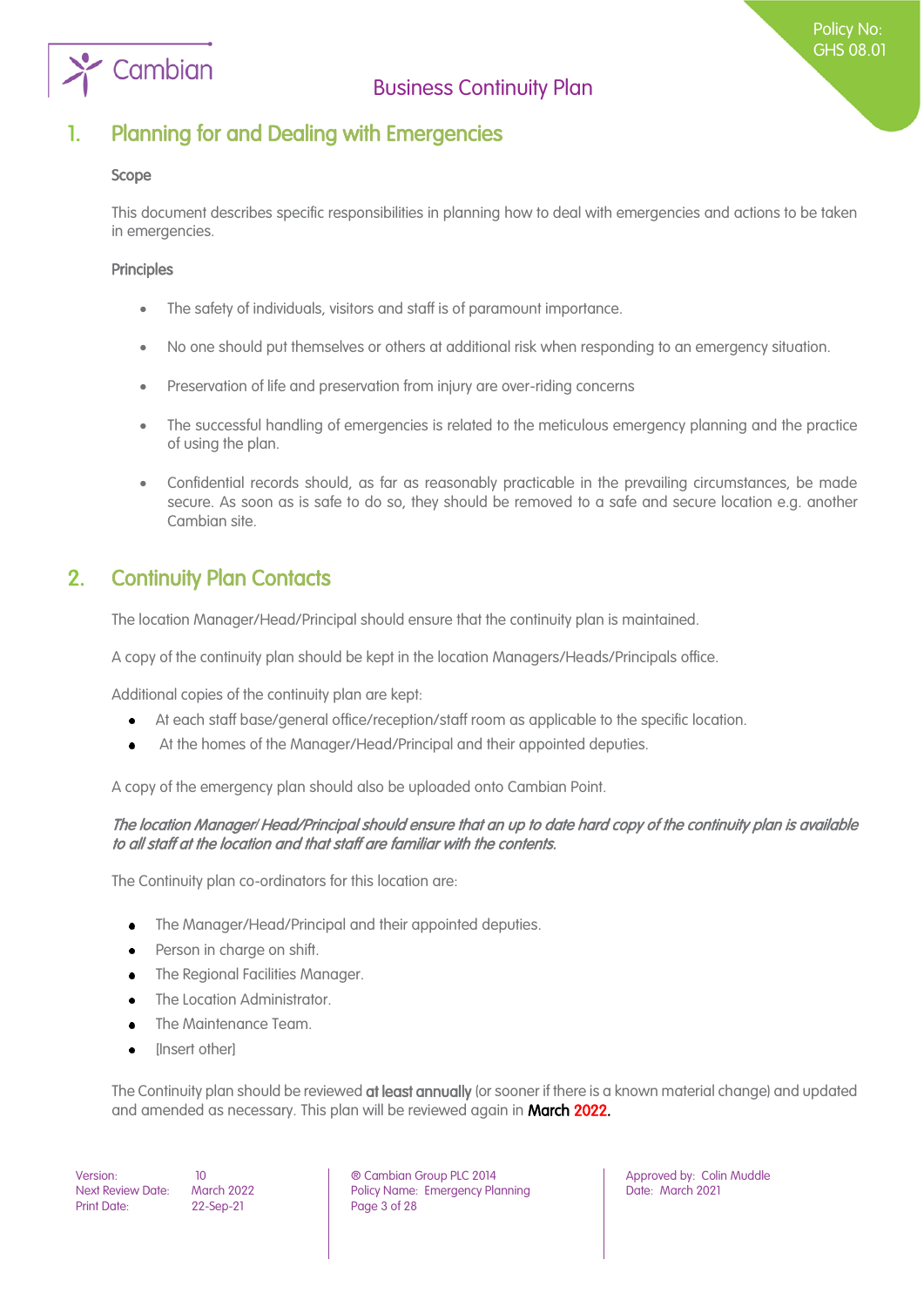

### <span id="page-2-0"></span>1. Planning for and Dealing with Emergencies

#### Scope

This document describes specific responsibilities in planning how to deal with emergencies and actions to be taken in emergencies.

#### **Principles**

- The safety of individuals, visitors and staff is of paramount importance.
- No one should put themselves or others at additional risk when responding to an emergency situation.
- Preservation of life and preservation from injury are over-riding concerns
- The successful handling of emergencies is related to the meticulous emergency planning and the practice of using the plan.
- Confidential records should, as far as reasonably practicable in the prevailing circumstances, be made secure. As soon as is safe to do so, they should be removed to a safe and secure location e.g. another Cambian site.

### <span id="page-2-1"></span>2. Continuity Plan Contacts

The location Manager/Head/Principal should ensure that the continuity plan is maintained.

A copy of the continuity plan should be kept in the location Managers/Heads/Principals office.

Additional copies of the continuity plan are kept:

- At each staff base/general office/reception/staff room as applicable to the specific location.  $\bullet$
- At the homes of the Manager/Head/Principal and their appointed deputies.

A copy of the emergency plan should also be uploaded onto Cambian Point.

#### The location Manager/Head/Principal should ensure that an up to date hard copy of the continuity plan is available to all staff at the location and that staff are familiar with the contents.

The Continuity plan co-ordinators for this location are:

- The Manager/Head/Principal and their appointed deputies.  $\bullet$
- Person in charge on shift.
- The Regional Facilities Manager.
- The Location Administrator.
- The Maintenance Team.
- [Insert other]

The Continuity plan should be reviewed at least annually (or sooner if there is a known material change) and updated and amended as necessary. This plan will be reviewed again in March 2022.

Print Date: 22-Sep-21 Page 3 of 28

Version: 10 ® Cambian Group PLC 2014 Approved by: Colin Muddle Next Review Date: March 2022 **Policy Name: Emergency Planning Particle 2021** Date: March 2021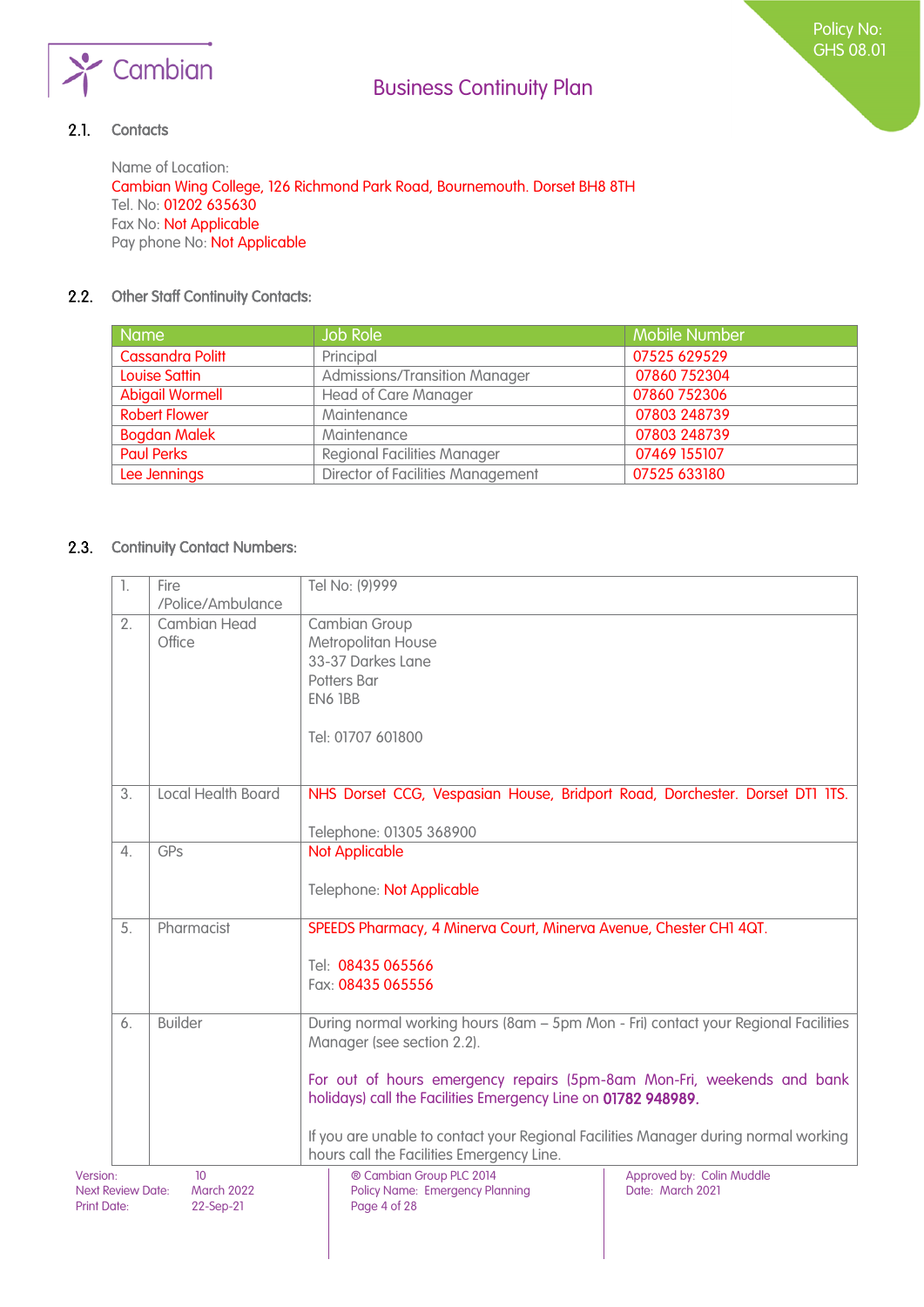

#### $2.1.$ **Contacts**

Name of Location: Cambian Wing College, 126 Richmond Park Road, Bournemouth. Dorset BH8 8TH Tel. No: 01202 635630 Fax No: Not Applicable Pay phone No: Not Applicable

#### 2.2. Other Staff Continuity Contacts:

| <b>Name</b>            | <b>Job Role</b>                      | <b>Mobile Number</b> |
|------------------------|--------------------------------------|----------------------|
| Cassandra Politt       | Principal                            | 07525 629529         |
| Louise Sattin          | <b>Admissions/Transition Manager</b> | 07860 752304         |
| <b>Abigail Wormell</b> | <b>Head of Care Manager</b>          | 07860 752306         |
| <b>Robert Flower</b>   | Maintenance                          | 07803 248739         |
| <b>Bogdan Malek</b>    | Maintenance                          | 07803 248739         |
| <b>Paul Perks</b>      | <b>Regional Facilities Manager</b>   | 07469 155107         |
| Lee Jennings           | Director of Facilities Management    | 07525 633180         |

#### 2.3. Continuity Contact Numbers:

| 1.                                                         | Fire                                               | Tel No: (9)999                                                                                                                                                                                                                                                              |                                               |
|------------------------------------------------------------|----------------------------------------------------|-----------------------------------------------------------------------------------------------------------------------------------------------------------------------------------------------------------------------------------------------------------------------------|-----------------------------------------------|
|                                                            | /Police/Ambulance                                  |                                                                                                                                                                                                                                                                             |                                               |
| 2.                                                         | <b>Cambian Head</b><br>Office                      | Cambian Group<br>Metropolitan House<br>33-37 Darkes Lane<br>Potters Bar<br>EN6 1BB                                                                                                                                                                                          |                                               |
|                                                            |                                                    | Tel: 01707 601800                                                                                                                                                                                                                                                           |                                               |
| 3.                                                         | <b>Local Health Board</b>                          | NHS Dorset CCG, Vespasian House, Bridport Road, Dorchester. Dorset DT1 1TS.<br>Telephone: 01305 368900                                                                                                                                                                      |                                               |
| 4.                                                         | GPs                                                | <b>Not Applicable</b>                                                                                                                                                                                                                                                       |                                               |
|                                                            |                                                    | Telephone: Not Applicable                                                                                                                                                                                                                                                   |                                               |
| 5.                                                         | Pharmacist                                         | SPEEDS Pharmacy, 4 Minerva Court, Minerva Avenue, Chester CH1 4QT.<br>Tel: 08435 065566<br>Fax: 08435 065556                                                                                                                                                                |                                               |
| 6.                                                         | <b>Builder</b>                                     | During normal working hours (8am - 5pm Mon - Fri) contact your Regional Facilities<br>Manager (see section 2.2).                                                                                                                                                            |                                               |
|                                                            |                                                    | For out of hours emergency repairs (5pm-8am Mon-Fri, weekends and bank<br>holidays) call the Facilities Emergency Line on 01782 948989.<br>If you are unable to contact your Regional Facilities Manager during normal working<br>hours call the Facilities Emergency Line. |                                               |
| Version:<br><b>Next Review Date:</b><br><b>Print Date:</b> | 10 <sup>10</sup><br><b>March 2022</b><br>22-Sep-21 | ® Cambian Group PLC 2014<br><b>Policy Name: Emergency Planning</b><br>Page 4 of 28                                                                                                                                                                                          | Approved by: Colin Muddle<br>Date: March 2021 |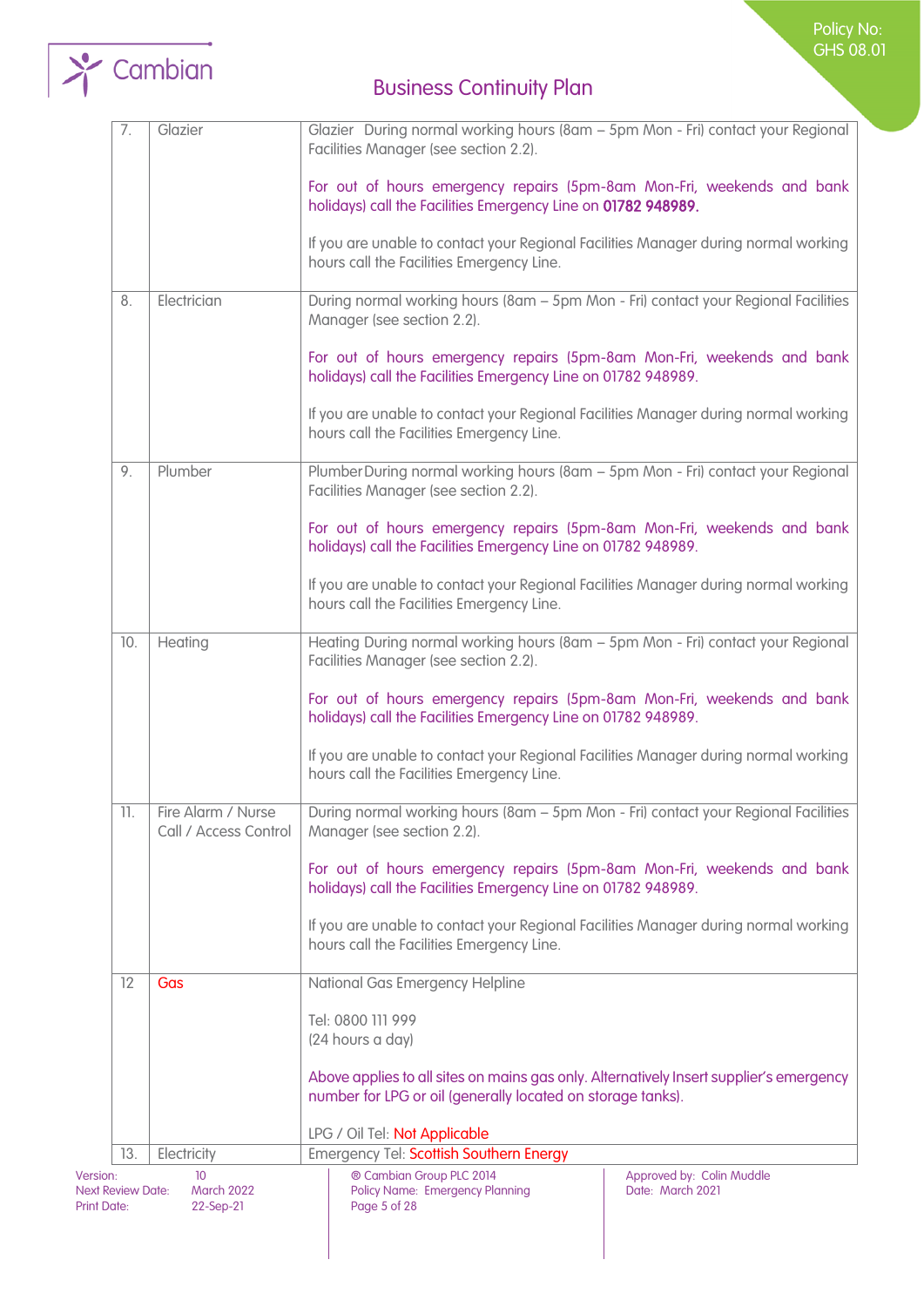



| 7.                                                         | Glazier                                            | Glazier During normal working hours (8am - 5pm Mon - Fri) contact your Regional<br>Facilities Manager (see section 2.2).                               |                                               |  |
|------------------------------------------------------------|----------------------------------------------------|--------------------------------------------------------------------------------------------------------------------------------------------------------|-----------------------------------------------|--|
|                                                            |                                                    | For out of hours emergency repairs (5pm-8am Mon-Fri, weekends and bank<br>holidays) call the Facilities Emergency Line on 01782 948989.                |                                               |  |
|                                                            |                                                    | If you are unable to contact your Regional Facilities Manager during normal working<br>hours call the Facilities Emergency Line.                       |                                               |  |
| 8.                                                         | Electrician                                        | During normal working hours (8am - 5pm Mon - Fri) contact your Regional Facilities<br>Manager (see section 2.2).                                       |                                               |  |
|                                                            |                                                    | For out of hours emergency repairs (5pm-8am Mon-Fri, weekends and bank<br>holidays) call the Facilities Emergency Line on 01782 948989.                |                                               |  |
|                                                            |                                                    | If you are unable to contact your Regional Facilities Manager during normal working<br>hours call the Facilities Emergency Line.                       |                                               |  |
| 9.                                                         | Plumber                                            | Plumber During normal working hours (8am - 5pm Mon - Fri) contact your Regional<br>Facilities Manager (see section 2.2).                               |                                               |  |
|                                                            |                                                    | For out of hours emergency repairs (5pm-8am Mon-Fri, weekends and bank<br>holidays) call the Facilities Emergency Line on 01782 948989.                |                                               |  |
|                                                            |                                                    | If you are unable to contact your Regional Facilities Manager during normal working<br>hours call the Facilities Emergency Line.                       |                                               |  |
| 10.                                                        | Heating                                            | Heating During normal working hours (8am - 5pm Mon - Fri) contact your Regional<br>Facilities Manager (see section 2.2).                               |                                               |  |
|                                                            |                                                    | For out of hours emergency repairs (5pm-8am Mon-Fri, weekends and bank<br>holidays) call the Facilities Emergency Line on 01782 948989.                |                                               |  |
|                                                            |                                                    | If you are unable to contact your Regional Facilities Manager during normal working<br>hours call the Facilities Emergency Line.                       |                                               |  |
| 11.                                                        | Fire Alarm / Nurse<br>Call / Access Control        | During normal working hours (8am - 5pm Mon - Fri) contact your Regional Facilities<br>Manager (see section 2.2).                                       |                                               |  |
|                                                            |                                                    | For out of hours emergency repairs (5pm-8am Mon-Fri, weekends and bank<br>holidays) call the Facilities Emergency Line on 01782 948989.                |                                               |  |
|                                                            |                                                    | If you are unable to contact your Regional Facilities Manager during normal working<br>hours call the Facilities Emergency Line.                       |                                               |  |
| 12                                                         | Gas                                                | National Gas Emergency Helpline                                                                                                                        |                                               |  |
|                                                            |                                                    | Tel: 0800 111 999                                                                                                                                      |                                               |  |
|                                                            |                                                    | (24 hours a day)                                                                                                                                       |                                               |  |
|                                                            |                                                    | Above applies to all sites on mains gas only. Alternatively Insert supplier's emergency<br>number for LPG or oil (generally located on storage tanks). |                                               |  |
|                                                            |                                                    | LPG / Oil Tel: Not Applicable                                                                                                                          |                                               |  |
| 13.                                                        | Electricity                                        | <b>Emergency Tel: Scottish Southern Energy</b>                                                                                                         |                                               |  |
| Version:<br><b>Next Review Date:</b><br><b>Print Date:</b> | 10 <sup>10</sup><br><b>March 2022</b><br>22-Sep-21 | ® Cambian Group PLC 2014<br><b>Policy Name: Emergency Planning</b><br>Page 5 of 28                                                                     | Approved by: Colin Muddle<br>Date: March 2021 |  |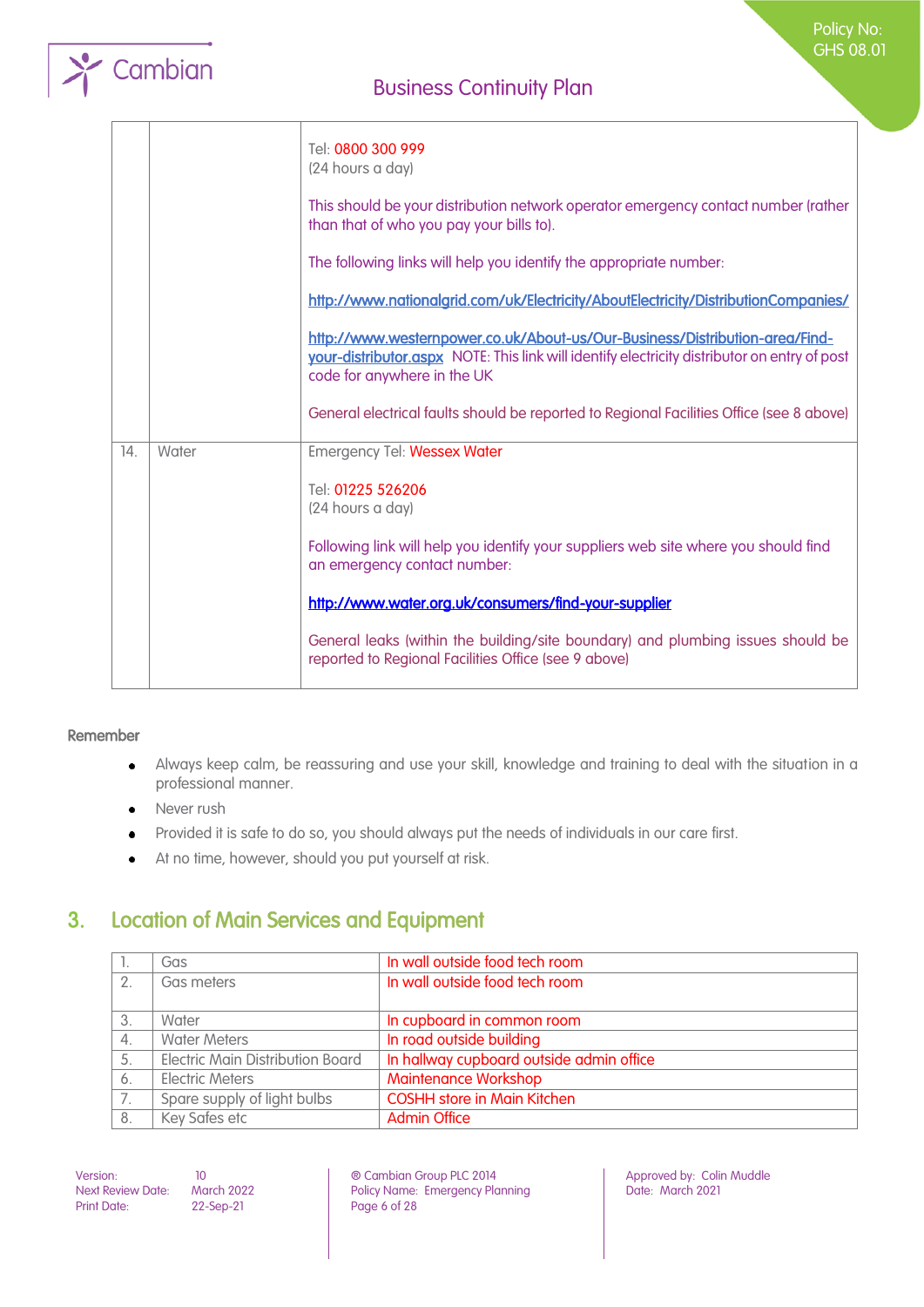

|     |       | Tel: 0800 300 999<br>(24 hours a day)<br>This should be your distribution network operator emergency contact number (rather<br>than that of who you pay your bills to).<br>The following links will help you identify the appropriate number:<br>http://www.nationalgrid.com/uk/Electricity/AboutElectricity/DistributionCompanies/<br>http://www.westernpower.co.uk/About-us/Our-Business/Distribution-area/Find-<br>your-distributor.aspx NOTE: This link will identify electricity distributor on entry of post<br>code for anywhere in the UK |
|-----|-------|---------------------------------------------------------------------------------------------------------------------------------------------------------------------------------------------------------------------------------------------------------------------------------------------------------------------------------------------------------------------------------------------------------------------------------------------------------------------------------------------------------------------------------------------------|
|     |       | General electrical faults should be reported to Regional Facilities Office (see 8 above)                                                                                                                                                                                                                                                                                                                                                                                                                                                          |
| 14. | Water | <b>Emergency Tel: Wessex Water</b><br>Tel: 01225 526206<br>(24 hours a day)<br>Following link will help you identify your suppliers web site where you should find<br>an emergency contact number:<br>http://www.water.org.uk/consumers/find-your-supplier<br>General leaks (within the building/site boundary) and plumbing issues should be<br>reported to Regional Facilities Office (see 9 above)                                                                                                                                             |

#### Remember

- Always keep calm, be reassuring and use your skill, knowledge and training to deal with the situation in a  $\bullet$ professional manner.
- Never rush  $\bullet$
- Provided it is safe to do so, you should always put the needs of individuals in our care first.  $\bullet$
- At no time, however, should you put yourself at risk.  $\bullet$

## <span id="page-5-0"></span>3. Location of Main Services and Equipment

| ч. | Gas                                     | In wall outside food tech room           |
|----|-----------------------------------------|------------------------------------------|
| 2. | Gas meters                              | In wall outside food tech room           |
|    |                                         |                                          |
| 3. | Water                                   | In cupboard in common room               |
| 4. | <b>Water Meters</b>                     | In road outside building                 |
| 5. | <b>Electric Main Distribution Board</b> | In hallway cupboard outside admin office |
| 6. | <b>Electric Meters</b>                  | <b>Maintenance Workshop</b>              |
| 7. | Spare supply of light bulbs             | <b>COSHH store in Main Kitchen</b>       |
| 8. | Key Safes etc                           | <b>Admin Office</b>                      |

Print Date: 22-Sep-21 Page 6 of 28

Version: 10 10 10 **Detail Combian Group PLC 2014** Approved by: Colin Muddle<br>Next Review Date: March 2022 Policy Name: Emergency Planning Date: March 2021 Policy Name: Emergency Planning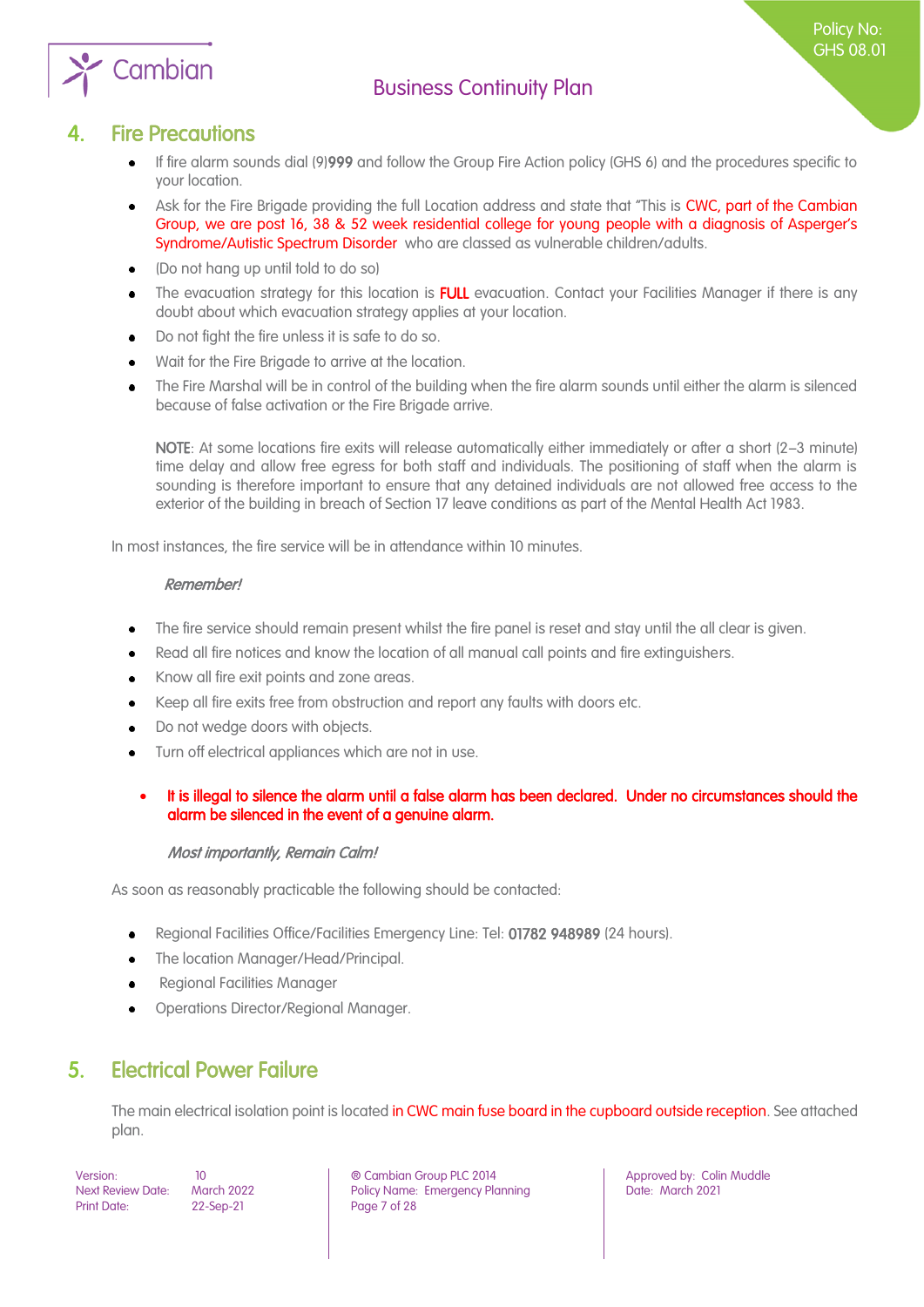

Policy No: GHS 08.01

### **Fire Precautions**

Cambian

- <span id="page-6-0"></span>If fire alarm sounds dial (9)999 and follow the Group Fire Action policy (GHS 6) and the procedures specific to your location.
- Ask for the Fire Brigade providing the full Location address and state that "This is CWC, part of the Cambian  $\bullet$ Group, we are post 16, 38 & 52 week residential college for young people with a diagnosis of Asperger's Syndrome/Autistic Spectrum Disorder who are classed as vulnerable children/adults.
- (Do not hang up until told to do so)
- The evacuation strategy for this location is FULL evacuation. Contact your Facilities Manager if there is any doubt about which evacuation strategy applies at your location.
- Do not fight the fire unless it is safe to do so.
- Wait for the Fire Brigade to arrive at the location.
- The Fire Marshal will be in control of the building when the fire alarm sounds until either the alarm is silenced because of false activation or the Fire Brigade arrive.

NOTE: At some locations fire exits will release automatically either immediately or after a short (2–3 minute) time delay and allow free egress for both staff and individuals. The positioning of staff when the alarm is sounding is therefore important to ensure that any detained individuals are not allowed free access to the exterior of the building in breach of Section 17 leave conditions as part of the Mental Health Act 1983.

In most instances, the fire service will be in attendance within 10 minutes.

#### Remember!

- The fire service should remain present whilst the fire panel is reset and stay until the all clear is given.
- Read all fire notices and know the location of all manual call points and fire extinguishers.
- Know all fire exit points and zone areas.
- Keep all fire exits free from obstruction and report any faults with doors etc.
- Do not wedge doors with objects.
- Turn off electrical appliances which are not in use.
- It is illegal to silence the alarm until a false alarm has been declared. Under no circumstances should the alarm be silenced in the event of a genuine alarm.

#### Most importantly, Remain Calm!

As soon as reasonably practicable the following should be contacted:

- Regional Facilities Office/Facilities Emergency Line: Tel: 01782 948989 (24 hours).  $\bullet$
- The location Manager/Head/Principal.
- Regional Facilities Manager  $\bullet$
- Operations Director/Regional Manager.

### <span id="page-6-1"></span>5. Electrical Power Failure

The main electrical isolation point is located in CWC main fuse board in the cupboard outside reception. See attached plan.

Print Date: 22-Sep-21 Page 7 of 28

Version: 10 ® Cambian Group PLC 2014 Approved by: Colin Muddle Next Review Date: March 2022 Policy Name: Emergency Planning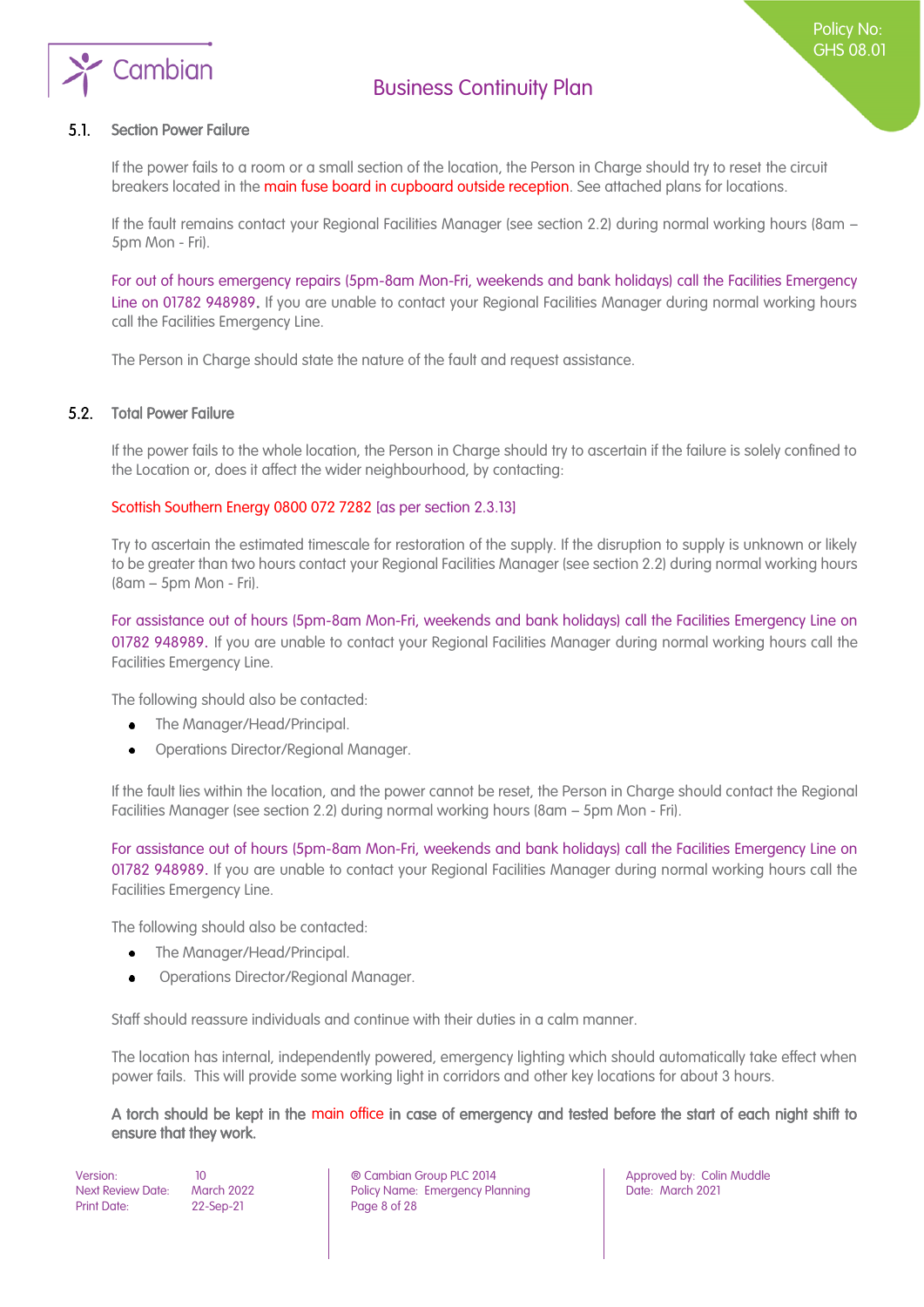

#### Section Power Failure  $5.1.$

If the power fails to a room or a small section of the location, the Person in Charge should try to reset the circuit breakers located in the main fuse board in cupboard outside reception. See attached plans for locations.

If the fault remains contact your Regional Facilities Manager (see section 2.2) during normal working hours (8am – 5pm Mon - Fri).

For out of hours emergency repairs (5pm-8am Mon-Fri, weekends and bank holidays) call the Facilities Emergency Line on 01782 948989. If you are unable to contact your Regional Facilities Manager during normal working hours call the Facilities Emergency Line.

The Person in Charge should state the nature of the fault and request assistance.

#### $5.2.$ Total Power Failure

If the power fails to the whole location, the Person in Charge should try to ascertain if the failure is solely confined to the Location or, does it affect the wider neighbourhood, by contacting:

#### Scottish Southern Energy 0800 072 7282 [as per section 2.3.13]

Try to ascertain the estimated timescale for restoration of the supply. If the disruption to supply is unknown or likely to be greater than two hours contact your Regional Facilities Manager (see section 2.2) during normal working hours (8am – 5pm Mon - Fri).

For assistance out of hours (5pm-8am Mon-Fri, weekends and bank holidays) call the Facilities Emergency Line on 01782 948989. If you are unable to contact your Regional Facilities Manager during normal working hours call the Facilities Emergency Line.

The following should also be contacted:

- The Manager/Head/Principal.  $\bullet$
- Operations Director/Regional Manager.

If the fault lies within the location, and the power cannot be reset, the Person in Charge should contact the Regional Facilities Manager (see section 2.2) during normal working hours (8am – 5pm Mon - Fri).

For assistance out of hours (5pm-8am Mon-Fri, weekends and bank holidays) call the Facilities Emergency Line on 01782 948989. If you are unable to contact your Regional Facilities Manager during normal working hours call the Facilities Emergency Line.

The following should also be contacted:

- The Manager/Head/Principal.  $\bullet$
- Operations Director/Regional Manager.

Staff should reassure individuals and continue with their duties in a calm manner.

The location has internal, independently powered, emergency lighting which should automatically take effect when power fails. This will provide some working light in corridors and other key locations for about 3 hours.

A torch should be kept in the main office in case of emergency and tested before the start of each night shift to ensure that they work.

Print Date: 22-Sep-21 Page 8 of 28

Version: 10 ® Cambian Group PLC 2014 Approved by: Colin Muddle Next Review Date: March 2022 | Policy Name: Emergency Planning | Date: March 2021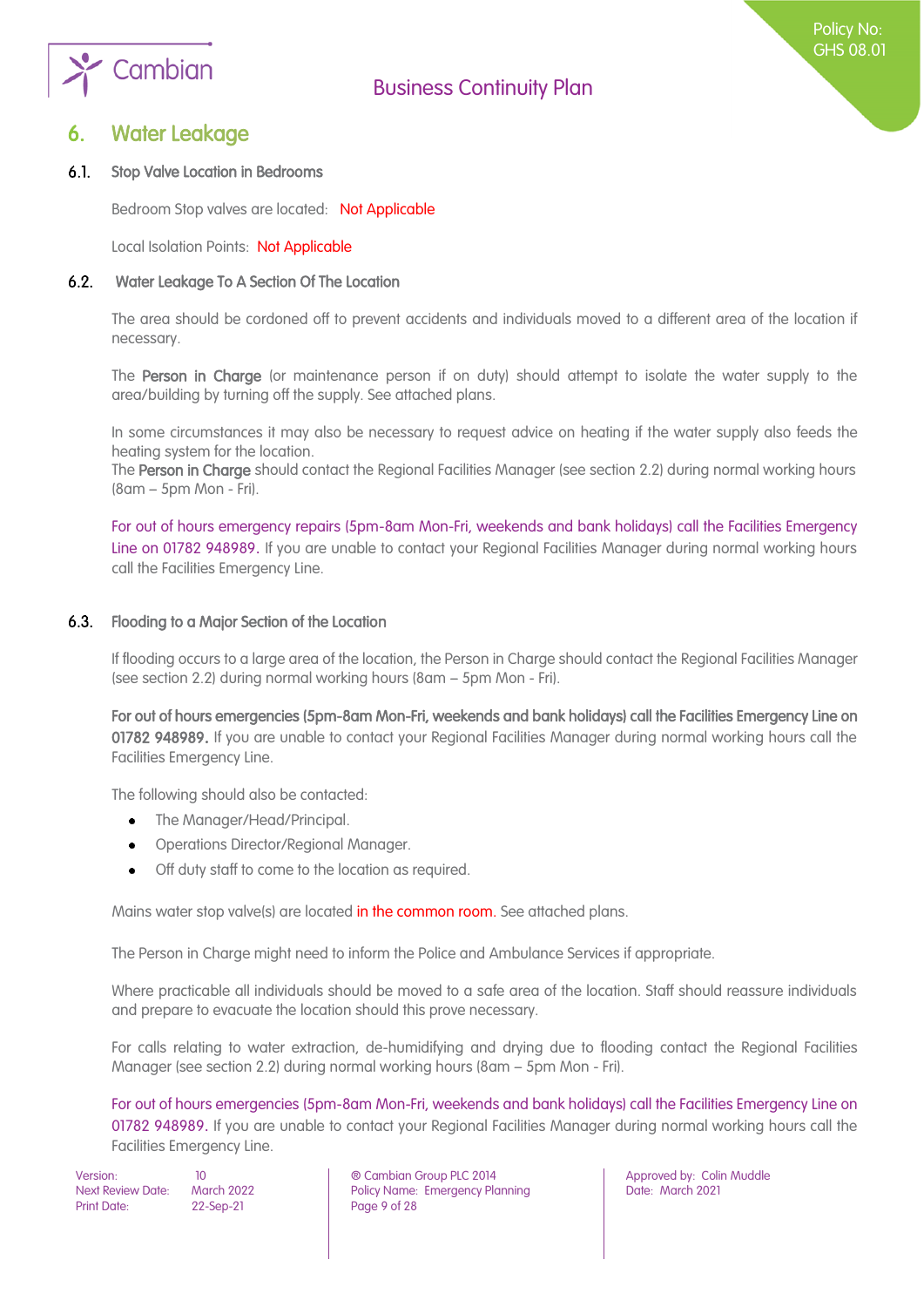

### <span id="page-8-0"></span>**Water Leakage**

#### $6.1.$ Stop Valve Location in Bedrooms

Bedroom Stop valves are located: Not Applicable

Local Isolation Points: Not Applicable

#### $6.2.$ Water Leakage To A Section Of The Location

The area should be cordoned off to prevent accidents and individuals moved to a different area of the location if necessary.

The Person in Charge (or maintenance person if on duty) should attempt to isolate the water supply to the area/building by turning off the supply. See attached plans.

In some circumstances it may also be necessary to request advice on heating if the water supply also feeds the heating system for the location.

The Person in Charge should contact the Regional Facilities Manager (see section 2.2) during normal working hours (8am – 5pm Mon - Fri).

For out of hours emergency repairs (5pm-8am Mon-Fri, weekends and bank holidays) call the Facilities Emergency Line on 01782 948989. If you are unable to contact your Regional Facilities Manager during normal working hours call the Facilities Emergency Line.

#### $6.3.$ Flooding to a Major Section of the Location

If flooding occurs to a large area of the location, the Person in Charge should contact the Regional Facilities Manager (see section 2.2) during normal working hours (8am – 5pm Mon - Fri).

For out of hours emergencies (5pm-8am Mon-Fri, weekends and bank holidays) call the Facilities Emergency Line on 01782 948989. If you are unable to contact your Regional Facilities Manager during normal working hours call the Facilities Emergency Line.

The following should also be contacted:

- $\bullet$ The Manager/Head/Principal.
- Operations Director/Regional Manager.
- Off duty staff to come to the location as required.

Mains water stop valve(s) are located in the common room. See attached plans.

The Person in Charge might need to inform the Police and Ambulance Services if appropriate.

Where practicable all individuals should be moved to a safe area of the location. Staff should reassure individuals and prepare to evacuate the location should this prove necessary.

For calls relating to water extraction, de-humidifying and drying due to flooding contact the Regional Facilities Manager (see section 2.2) during normal working hours (8am – 5pm Mon - Fri).

For out of hours emergencies (5pm-8am Mon-Fri, weekends and bank holidays) call the Facilities Emergency Line on 01782 948989. If you are unable to contact your Regional Facilities Manager during normal working hours call the Facilities Emergency Line.

Print Date: 22-Sep-21 Page 9 of 28

Version: 10 ® Cambian Group PLC 2014 Approved by: Colin Muddle Next Review Date: March 2022 | Policy Name: Emergency Planning | Date: March 2021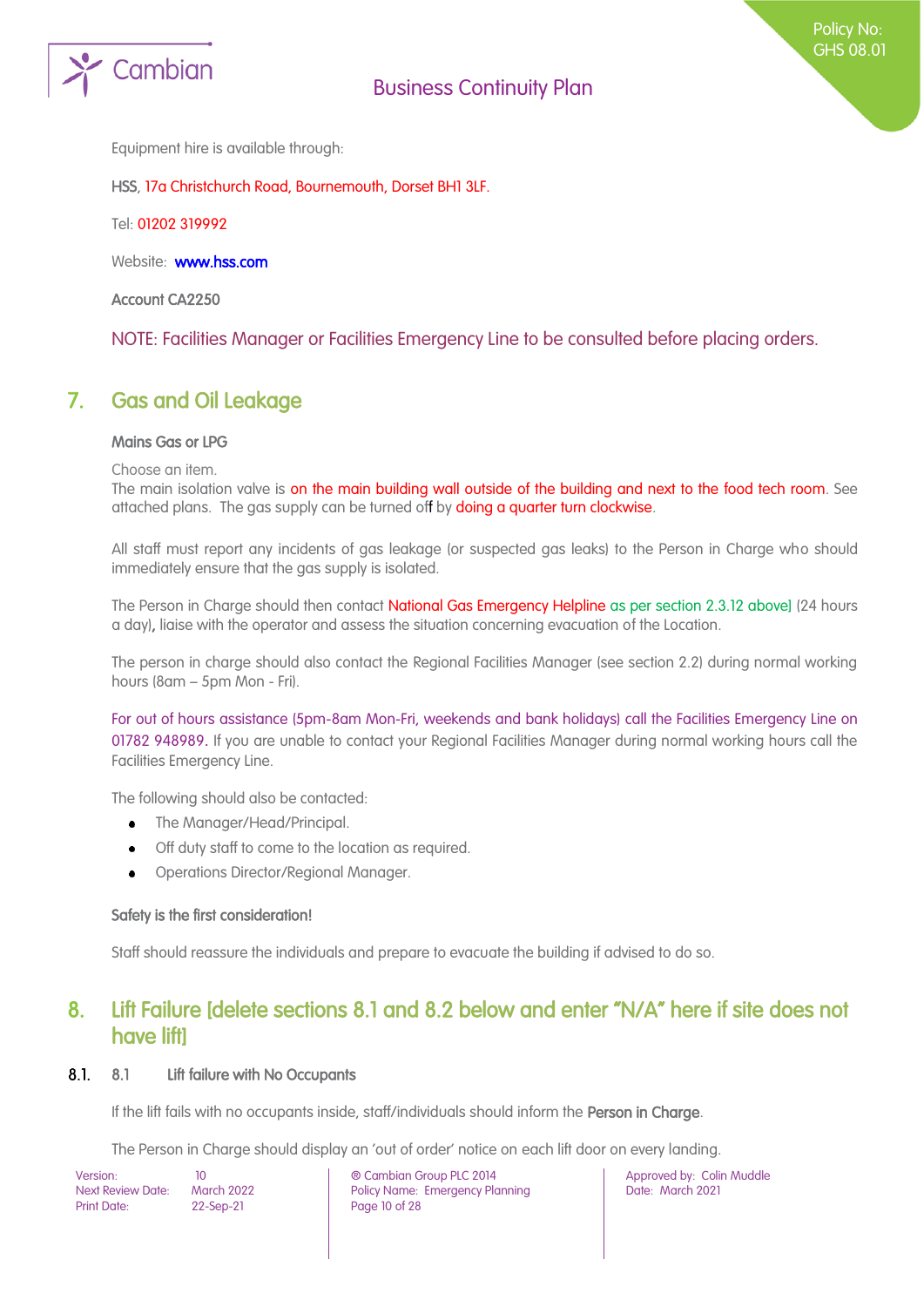

Equipment hire is available through:

HSS, 17a Christchurch Road, Bournemouth, Dorset BH1 3LF.

Tel: 01202 319992

Website: **www.hss.com** 

Account CA2250

<span id="page-9-0"></span>NOTE: Facilities Manager or Facilities Emergency Line to be consulted before placing orders.

### 7. Gas and Oil Leakage

#### Mains Gas or LPG

Choose an item.

The main isolation valve is on the main building wall outside of the building and next to the food tech room. See attached plans. The gas supply can be turned off by doing a quarter turn clockwise.

All staff must report any incidents of gas leakage (or suspected gas leaks) to the Person in Charge who should immediately ensure that the gas supply is isolated.

The Person in Charge should then contact National Gas Emergency Helpline as per section 2.3.12 above] (24 hours a day), liaise with the operator and assess the situation concerning evacuation of the Location.

The person in charge should also contact the Regional Facilities Manager (see section 2.2) during normal working hours (8am – 5pm Mon - Fri).

For out of hours assistance (5pm-8am Mon-Fri, weekends and bank holidays) call the Facilities Emergency Line on 01782 948989. If you are unable to contact your Regional Facilities Manager during normal working hours call the Facilities Emergency Line.

The following should also be contacted:

- The Manager/Head/Principal.
- Off duty staff to come to the location as required.  $\bullet$
- Operations Director/Regional Manager.  $\bullet$

#### Safety is the first consideration!

<span id="page-9-1"></span>Staff should reassure the individuals and prepare to evacuate the building if advised to do so.

### 8. Lift Failure [delete sections 8.1 and 8.2 below and enter "N/A" here if site does not have lift]

#### $8.1.$ 8.1 Lift failure with No Occupants

If the lift fails with no occupants inside, staff/individuals should inform the Person in Charge.

The Person in Charge should display an 'out of order' notice on each lift door on every landing.

| Version:                 | 10                |
|--------------------------|-------------------|
| <b>Next Review Date:</b> | <b>March 2022</b> |
| <b>Print Date:</b>       | 22-Sep-21         |

Version: 10 ® Cambian Group PLC 2014 Approved by: Colin Muddle Policy Name: Emergency Planning Page 10 of 28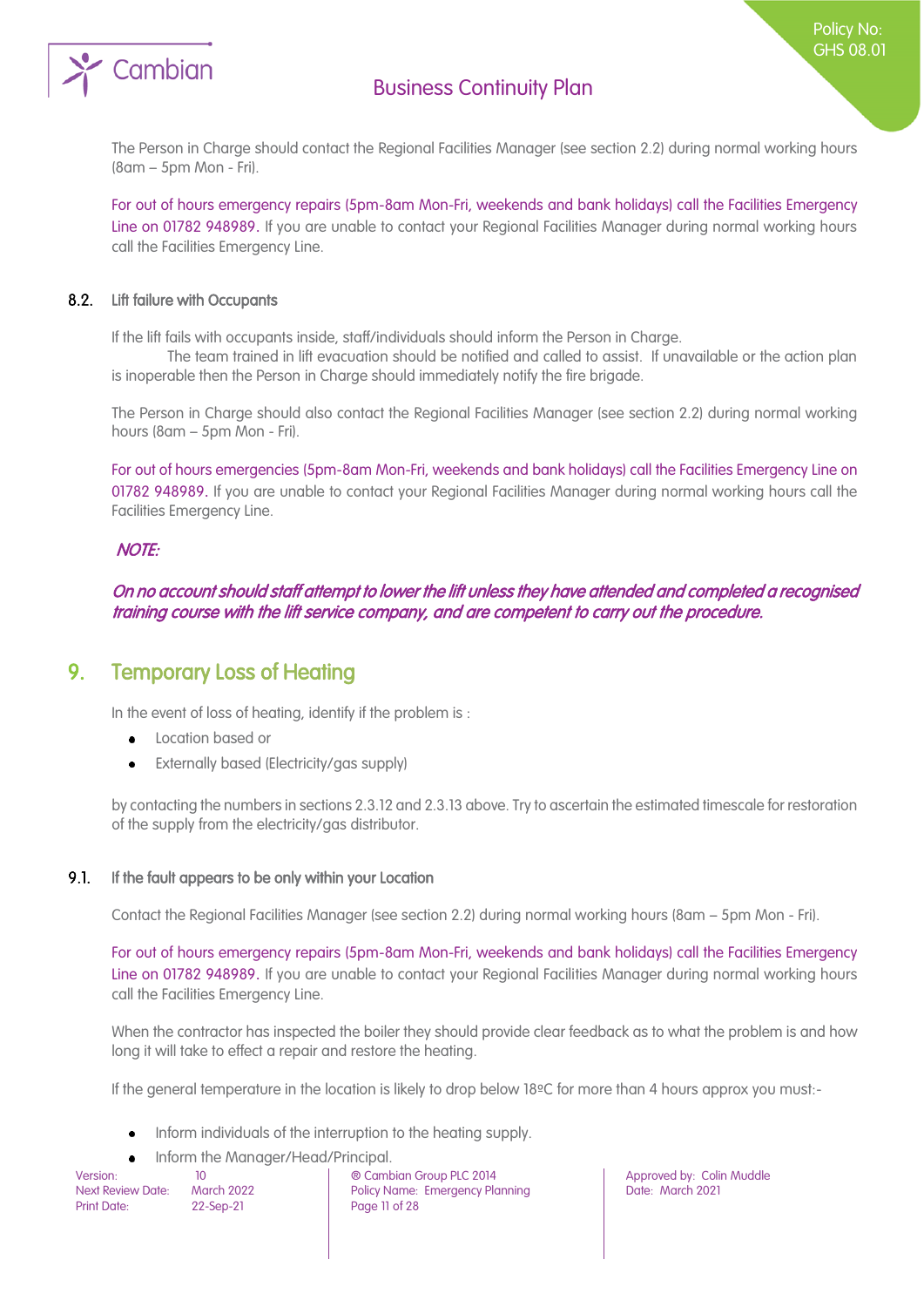

The Person in Charge should contact the Regional Facilities Manager (see section 2.2) during normal working hours (8am – 5pm Mon - Fri).

For out of hours emergency repairs (5pm-8am Mon-Fri, weekends and bank holidays) call the Facilities Emergency Line on 01782 948989. If you are unable to contact your Regional Facilities Manager during normal working hours call the Facilities Emergency Line.

#### $8.2.$ Lift failure with Occupants

If the lift fails with occupants inside, staff/individuals should inform the Person in Charge.

The team trained in lift evacuation should be notified and called to assist. If unavailable or the action plan is inoperable then the Person in Charge should immediately notify the fire brigade.

The Person in Charge should also contact the Regional Facilities Manager (see section 2.2) during normal working hours (8am – 5pm Mon - Fri).

For out of hours emergencies (5pm-8am Mon-Fri, weekends and bank holidays) call the Facilities Emergency Line on 01782 948989. If you are unable to contact your Regional Facilities Manager during normal working hours call the Facilities Emergency Line.

#### NOTE:

On no account should staff attempt to lower the lift unless they have attended and completed a recognised training course with the lift service company, and are competent to carry out the procedure.

### <span id="page-10-0"></span>9. Temporary Loss of Heating

In the event of loss of heating, identify if the problem is :

- Location based or  $\ddot{\phantom{a}}$
- Externally based (Electricity/gas supply)

by contacting the numbers in sections 2.3.12 and 2.3.13 above. Try to ascertain the estimated timescale for restoration of the supply from the electricity/gas distributor.

#### 9.1. If the fault appears to be only within your Location

Contact the Regional Facilities Manager (see section 2.2) during normal working hours (8am – 5pm Mon - Fri).

For out of hours emergency repairs (5pm-8am Mon-Fri, weekends and bank holidays) call the Facilities Emergency Line on 01782 948989. If you are unable to contact your Regional Facilities Manager during normal working hours call the Facilities Emergency Line.

When the contractor has inspected the boiler they should provide clear feedback as to what the problem is and how long it will take to effect a repair and restore the heating.

If the general temperature in the location is likely to drop below 18ºC for more than 4 hours approx you must:-

- Inform individuals of the interruption to the heating supply.  $\bullet$
- Inform the Manager/Head/Principal.

Version: 10 ® Cambian Group PLC 2014 Approved by: Colin Muddle Next Review Date: March 2022 **Policy Name: Emergency Planning Particle 2021** Date: March 2021 Print Date: 22-Sep-21 Page 11 of 28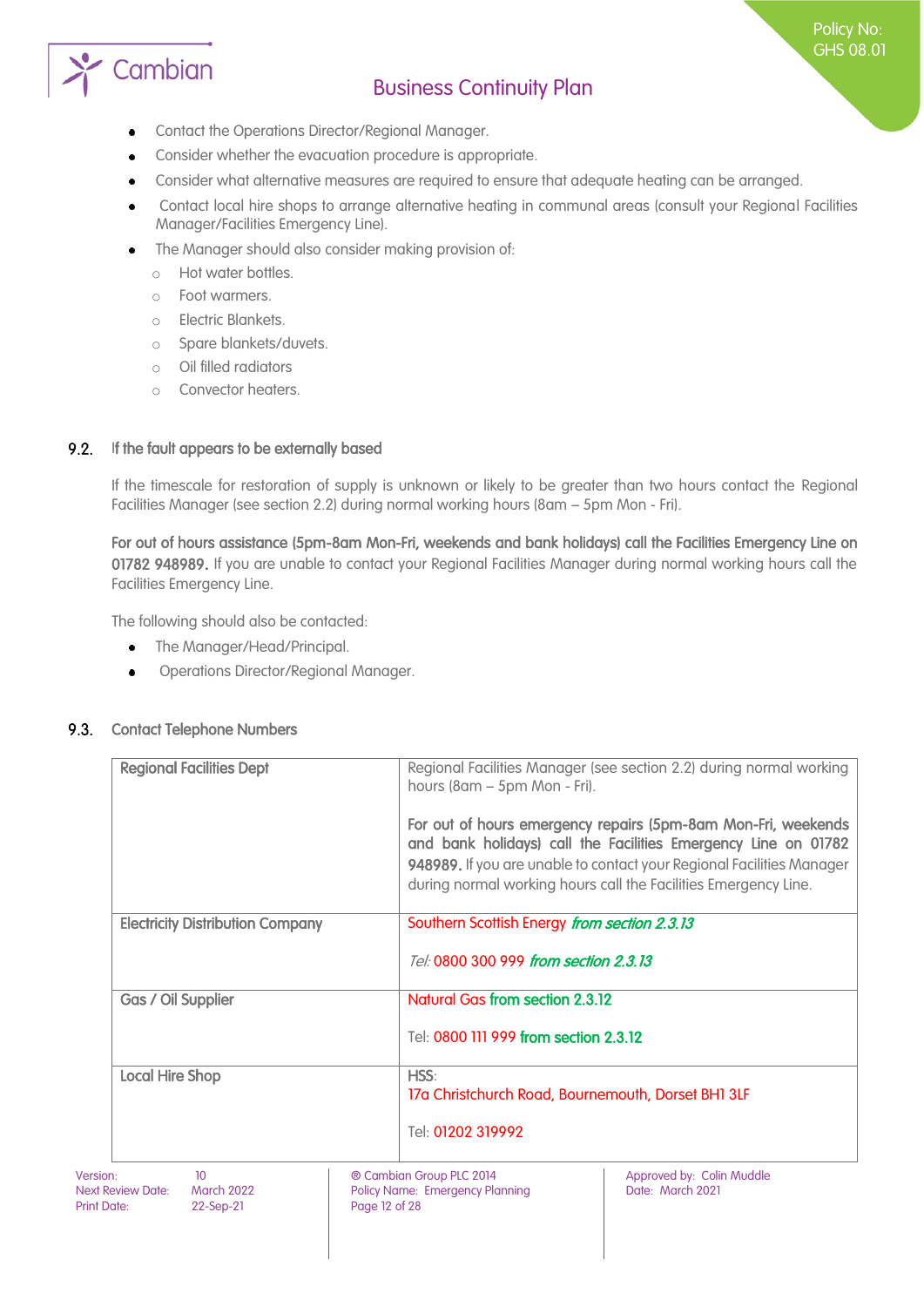

- Contact the Operations Director/Regional Manager.  $\bullet$
- Consider whether the evacuation procedure is appropriate.
- Consider what alternative measures are required to ensure that adequate heating can be arranged.
- Contact local hire shops to arrange alternative heating in communal areas (consult your Regional Facilities Manager/Facilities Emergency Line).
- The Manager should also consider making provision of:
	- o Hot water bottles.
	- o Foot warmers.
	- o Electric Blankets.
	- o Spare blankets/duvets.
	- o Oil filled radiators
	- o Convector heaters.

#### $9.2.$ If the fault appears to be externally based

If the timescale for restoration of supply is unknown or likely to be greater than two hours contact the Regional Facilities Manager (see section 2.2) during normal working hours (8am – 5pm Mon - Fri).

For out of hours assistance (5pm-8am Mon-Fri, weekends and bank holidays) call the Facilities Emergency Line on 01782 948989. If you are unable to contact your Regional Facilities Manager during normal working hours call the Facilities Emergency Line.

The following should also be contacted:

- The Manager/Head/Principal.  $\bullet$
- Operations Director/Regional Manager.  $\bullet$

#### 9.3. Contact Telephone Numbers

| <b>Regional Facilities Dept</b>         | Regional Facilities Manager (see section 2.2) during normal working<br>hours (8am – 5pm Mon - Fri).                                                                                                                                                                         |
|-----------------------------------------|-----------------------------------------------------------------------------------------------------------------------------------------------------------------------------------------------------------------------------------------------------------------------------|
|                                         | For out of hours emergency repairs (5pm-8am Mon-Fri, weekends<br>and bank holidays) call the Facilities Emergency Line on 01782<br>948989. If you are unable to contact your Regional Facilities Manager<br>during normal working hours call the Facilities Emergency Line. |
|                                         |                                                                                                                                                                                                                                                                             |
| <b>Electricity Distribution Company</b> | Southern Scottish Energy from section 2.3.13                                                                                                                                                                                                                                |
|                                         | Tel: 0800 300 999 from section 2.3.13                                                                                                                                                                                                                                       |
| Gas / Oil Supplier                      | <b>Natural Gas from section 2.3.12</b>                                                                                                                                                                                                                                      |
|                                         | Tel: 0800 111 999 from section 2.3.12                                                                                                                                                                                                                                       |
| <b>Local Hire Shop</b>                  | HSS:                                                                                                                                                                                                                                                                        |
|                                         | 17a Christchurch Road, Bournemouth, Dorset BH1 3LF                                                                                                                                                                                                                          |
|                                         | Tel: 01202 319992                                                                                                                                                                                                                                                           |
| $\mathbf{10}$                           | $\sim$ Campbian Croup DLC 0014<br>$\overline{a}$ Approved by Colin Muddle                                                                                                                                                                                                   |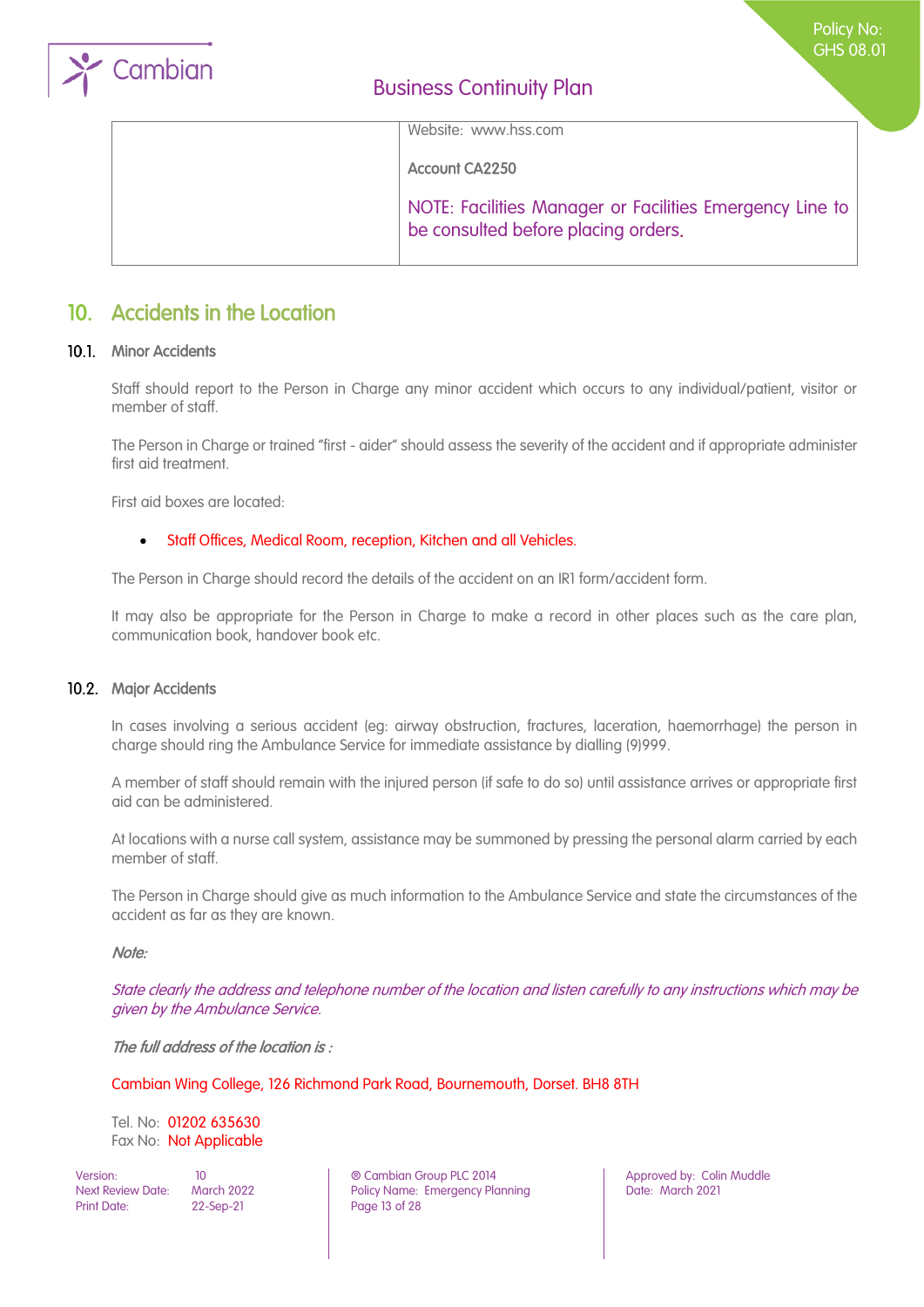

Website: www.hss.com

Account CA2250

NOTE: Facilities Manager or Facilities Emergency Line to be consulted before placing orders.

### <span id="page-12-0"></span>10. Accidents in the Location

#### 10.1. Minor Accidents

Staff should report to the Person in Charge any minor accident which occurs to any individual/patient, visitor or member of staff.

The Person in Charge or trained "first - aider" should assess the severity of the accident and if appropriate administer first aid treatment.

First aid boxes are located:

#### • Staff Offices, Medical Room, reception, Kitchen and all Vehicles.

The Person in Charge should record the details of the accident on an IR1 form/accident form.

It may also be appropriate for the Person in Charge to make a record in other places such as the care plan, communication book, handover book etc.

#### 10.2. Major Accidents

In cases involving a serious accident (eg: airway obstruction, fractures, laceration, haemorrhage) the person in charge should ring the Ambulance Service for immediate assistance by dialling (9)999.

A member of staff should remain with the injured person (if safe to do so) until assistance arrives or appropriate first aid can be administered.

At locations with a nurse call system, assistance may be summoned by pressing the personal alarm carried by each member of staff.

The Person in Charge should give as much information to the Ambulance Service and state the circumstances of the accident as far as they are known.

#### Note:

State clearly the address and telephone number of the location and listen carefully to any instructions which may be given by the Ambulance Service.

The full address of the location is:

Cambian Wing College, 126 Richmond Park Road, Bournemouth, Dorset. BH8 8TH

Tel. No: 01202 635630 Fax No: Not Applicable

Print Date: 22-Sep-21 Page 13 of 28

Version: 10 ® Cambian Group PLC 2014 Approved by: Colin Muddle Next Review Date: March 2022 | Policy Name: Emergency Planning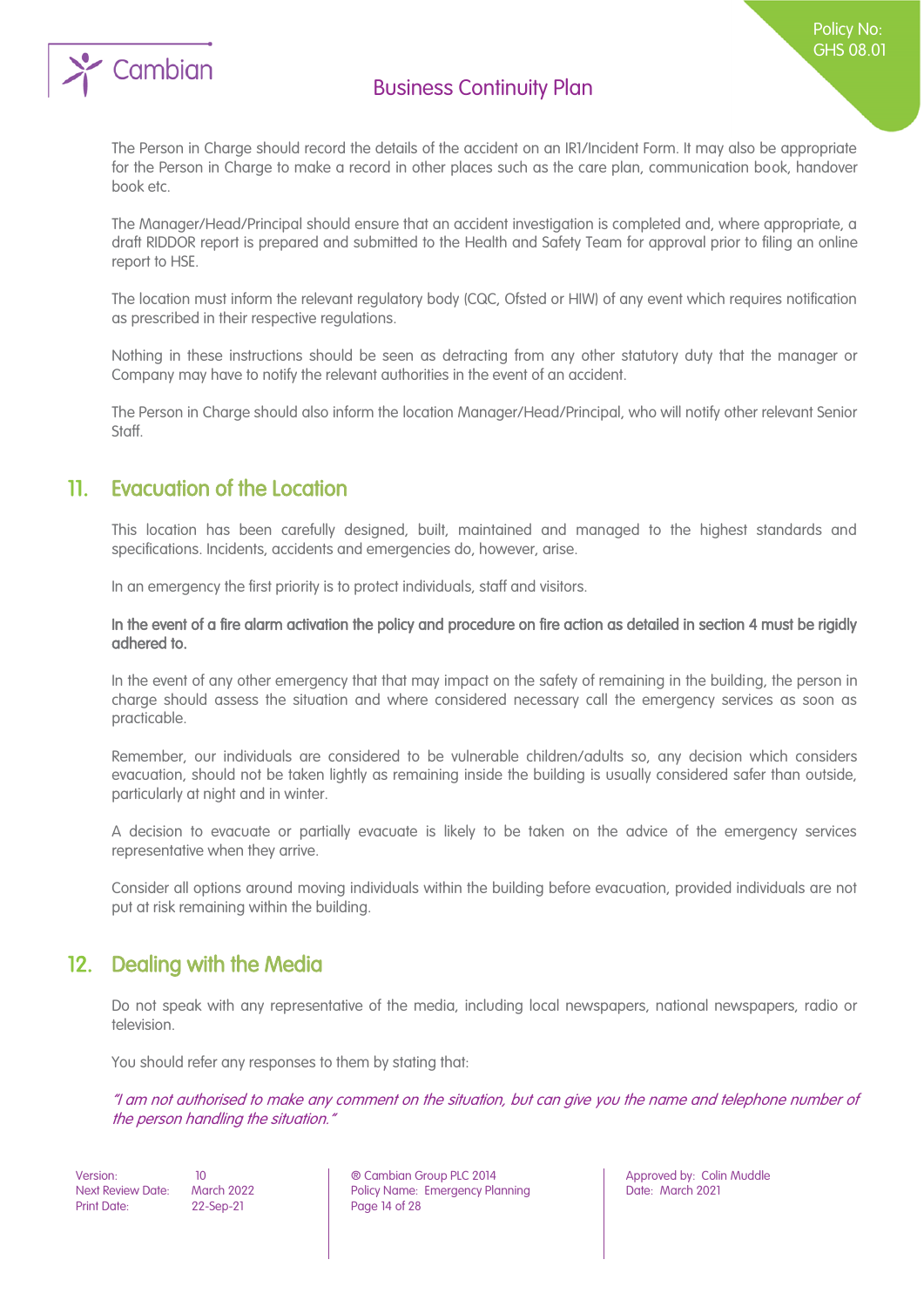

The Person in Charge should record the details of the accident on an IR1/Incident Form. It may also be appropriate for the Person in Charge to make a record in other places such as the care plan, communication book, handover book etc.

The Manager/Head/Principal should ensure that an accident investigation is completed and, where appropriate, a draft RIDDOR report is prepared and submitted to the Health and Safety Team for approval prior to filing an online report to HSE.

The location must inform the relevant regulatory body (CQC, Ofsted or HIW) of any event which requires notification as prescribed in their respective regulations.

Nothing in these instructions should be seen as detracting from any other statutory duty that the manager or Company may have to notify the relevant authorities in the event of an accident.

The Person in Charge should also inform the location Manager/Head/Principal, who will notify other relevant Senior Staff.

### <span id="page-13-0"></span>11. Evacuation of the Location

This location has been carefully designed, built, maintained and managed to the highest standards and specifications. Incidents, accidents and emergencies do, however, arise.

In an emergency the first priority is to protect individuals, staff and visitors.

In the event of a fire alarm activation the policy and procedure on fire action as detailed in section 4 must be rigidly adhered to.

In the event of any other emergency that that may impact on the safety of remaining in the building, the person in charge should assess the situation and where considered necessary call the emergency services as soon as practicable.

Remember, our individuals are considered to be vulnerable children/adults so, any decision which considers evacuation, should not be taken lightly as remaining inside the building is usually considered safer than outside, particularly at night and in winter.

A decision to evacuate or partially evacuate is likely to be taken on the advice of the emergency services representative when they arrive.

Consider all options around moving individuals within the building before evacuation, provided individuals are not put at risk remaining within the building.

### <span id="page-13-1"></span>12. Dealing with the Media

Do not speak with any representative of the media, including local newspapers, national newspapers, radio or television.

You should refer any responses to them by stating that:

"I am not authorised to make any comment on the situation, but can give you the name and telephone number of the person handling the situation."

Print Date: 22-Sep-21 Page 14 of 28

Version: 10 ® Cambian Group PLC 2014 Approved by: Colin Muddle Next Review Date: March 2022 **Policy Name: Emergency Planning Particle 2021** Date: March 2021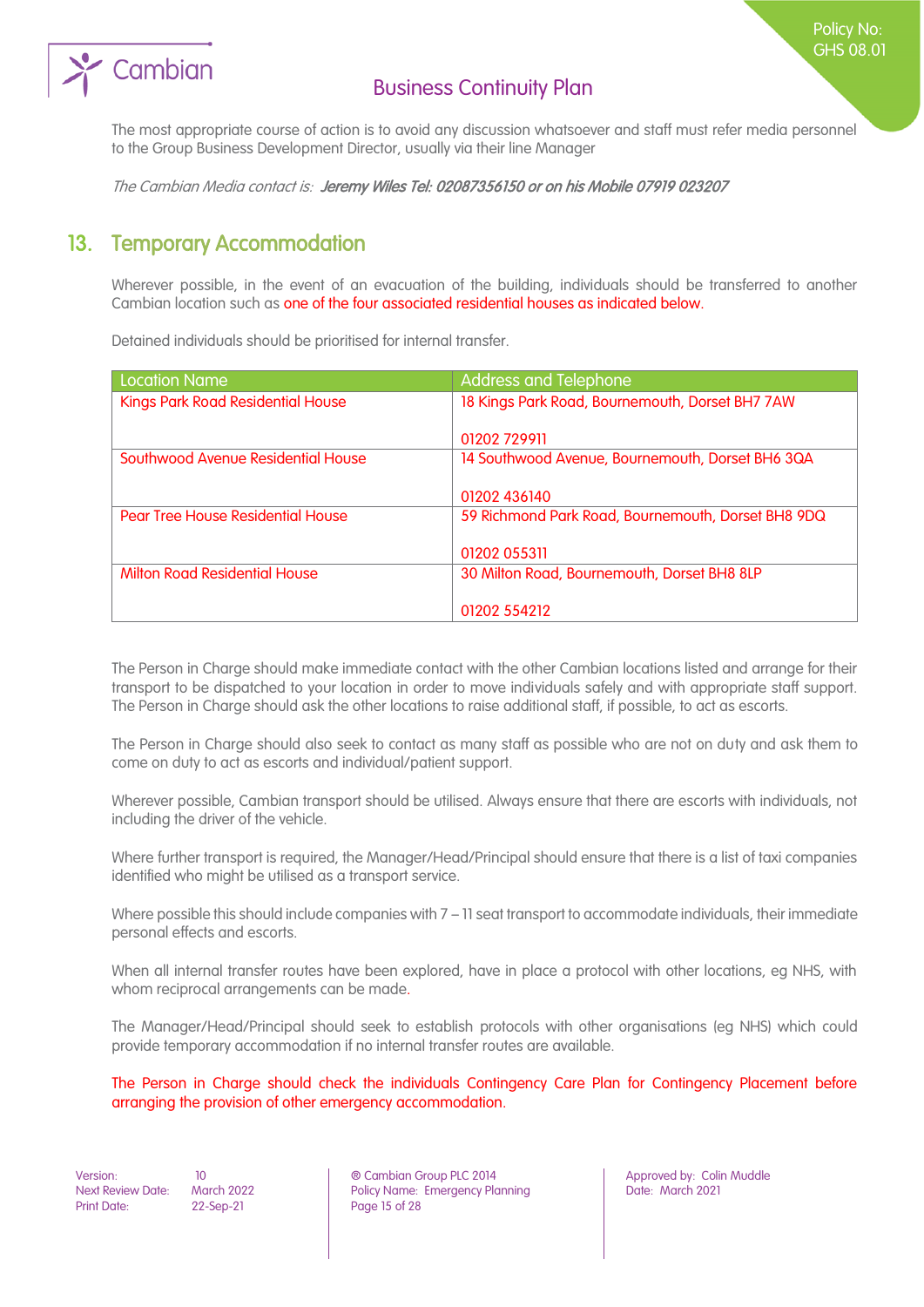# Cambian

### Business Continuity Plan

The most appropriate course of action is to avoid any discussion whatsoever and staff must refer media personnel to the Group Business Development Director, usually via their line Manager

<span id="page-14-0"></span>The Cambian Media contact is: Jeremy Wiles Tel: 02087356150 or on his Mobile 07919 023207

## 13. Temporary Accommodation

Wherever possible, in the event of an evacuation of the building, individuals should be transferred to another Cambian location such as one of the four associated residential houses as indicated below.

Detained individuals should be prioritised for internal transfer.

| Location Name                            | <b>Address and Telephone</b>                       |
|------------------------------------------|----------------------------------------------------|
| <b>Kings Park Road Residential House</b> | 18 Kings Park Road, Bournemouth, Dorset BH7 7AW    |
|                                          | 01202 729911                                       |
| Southwood Avenue Residential House       | 14 Southwood Avenue, Bournemouth, Dorset BH6 3QA   |
|                                          | 01202 436140                                       |
| Pear Tree House Residential House        | 59 Richmond Park Road, Bournemouth, Dorset BH8 9DQ |
|                                          | 01202 055311                                       |
| <b>Milton Road Residential House</b>     | 30 Milton Road, Bournemouth, Dorset BH8 8LP        |
|                                          | 01202 554212                                       |

The Person in Charge should make immediate contact with the other Cambian locations listed and arrange for their transport to be dispatched to your location in order to move individuals safely and with appropriate staff support. The Person in Charge should ask the other locations to raise additional staff, if possible, to act as escorts.

The Person in Charge should also seek to contact as many staff as possible who are not on duty and ask them to come on duty to act as escorts and individual/patient support.

Wherever possible, Cambian transport should be utilised. Always ensure that there are escorts with individuals, not including the driver of the vehicle.

Where further transport is required, the Manager/Head/Principal should ensure that there is a list of taxi companies identified who might be utilised as a transport service.

Where possible this should include companies with 7 – 11 seat transport to accommodate individuals, their immediate personal effects and escorts.

When all internal transfer routes have been explored, have in place a protocol with other locations, eg NHS, with whom reciprocal arrangements can be made.

The Manager/Head/Principal should seek to establish protocols with other organisations (eg NHS) which could provide temporary accommodation if no internal transfer routes are available.

The Person in Charge should check the individuals Contingency Care Plan for Contingency Placement before arranging the provision of other emergency accommodation.

Version: 10 ® Cambian Group PLC 2014 Approved by: Colin Muddle Next Review Date: March 2022 Policy Name: Emergency Planning<br>
Print Date: 22-Sep-21 Page 15 of 28 Page 15 of 28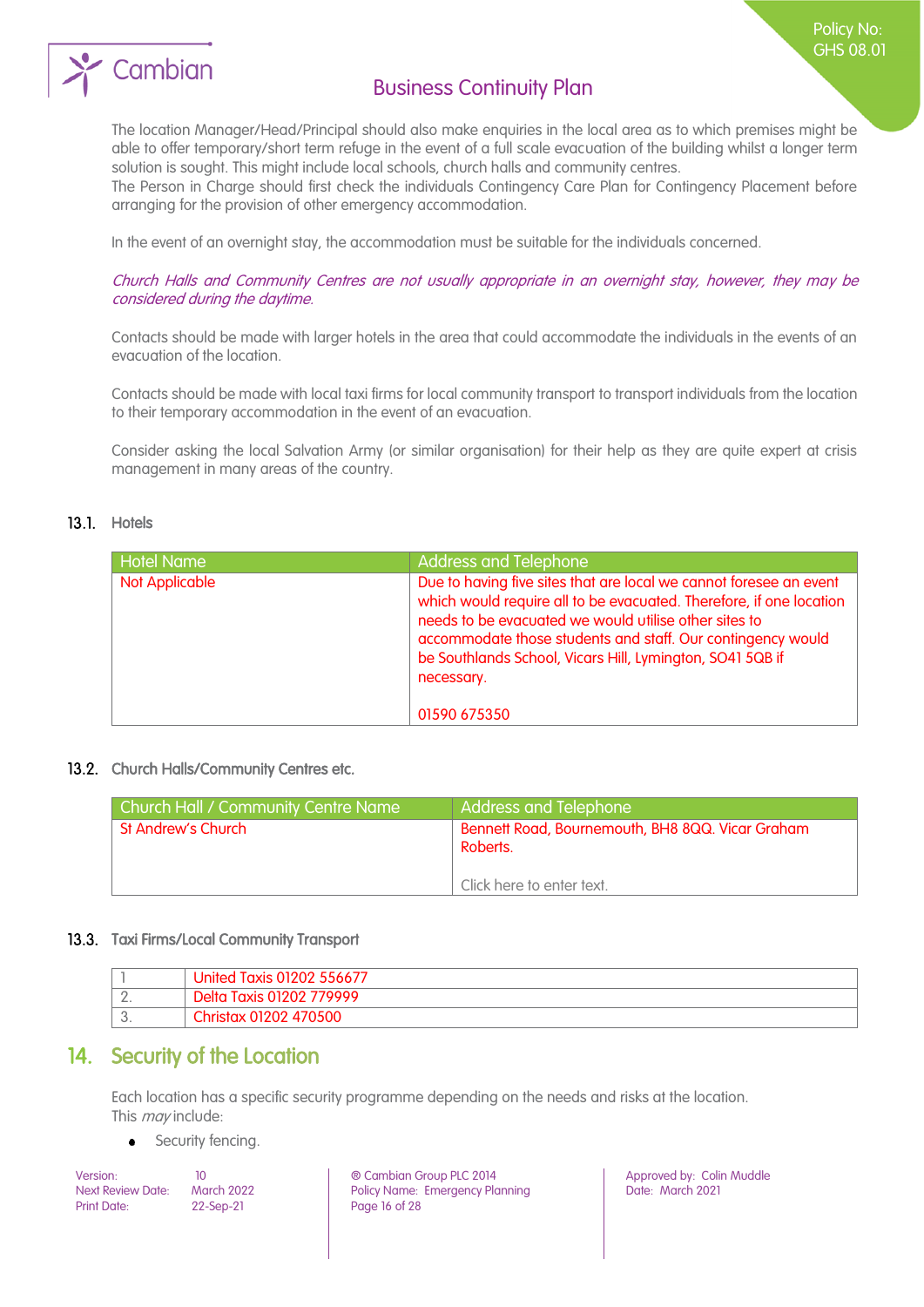

The location Manager/Head/Principal should also make enquiries in the local area as to which premises might be able to offer temporary/short term refuge in the event of a full scale evacuation of the building whilst a longer term solution is sought. This might include local schools, church halls and community centres.

The Person in Charge should first check the individuals Contingency Care Plan for Contingency Placement before arranging for the provision of other emergency accommodation.

In the event of an overnight stay, the accommodation must be suitable for the individuals concerned.

Church Halls and Community Centres are not usually appropriate in an overnight stay, however, they may be considered during the daytime.

Contacts should be made with larger hotels in the area that could accommodate the individuals in the events of an evacuation of the location.

Contacts should be made with local taxi firms for local community transport to transport individuals from the location to their temporary accommodation in the event of an evacuation.

Consider asking the local Salvation Army (or similar organisation) for their help as they are quite expert at crisis management in many areas of the country.

#### 13.1. Hotels

| <b>Hotel Name</b> | <b>Address and Telephone</b>                                                                                                                                                                                                                                                                                                                 |
|-------------------|----------------------------------------------------------------------------------------------------------------------------------------------------------------------------------------------------------------------------------------------------------------------------------------------------------------------------------------------|
| Not Applicable    | Due to having five sites that are local we cannot foresee an event<br>which would require all to be evacuated. Therefore, if one location<br>needs to be evacuated we would utilise other sites to<br>accommodate those students and staff. Our contingency would<br>be Southlands School, Vicars Hill, Lymington, SO41 5QB if<br>necessary. |
|                   | 01590 675350                                                                                                                                                                                                                                                                                                                                 |

#### 13.2. Church Halls/Community Centres etc.

| <b>Church Hall / Community Centre Name</b> | <b>Address and Telephone</b>                                                              |
|--------------------------------------------|-------------------------------------------------------------------------------------------|
| St Andrew's Church                         | Bennett Road, Bournemouth, BH8 8QQ. Vicar Graham<br>Roberts.<br>Click here to enter text. |

#### 13.3. Taxi Firms/Local Community Transport

|              | Taxis 01202 556677<br>Jhited    |
|--------------|---------------------------------|
| <u>.</u>     | 779999<br>Taxis 01202<br>Delta: |
| $\backsim$ . | $\sim$<br>470500                |

### <span id="page-15-0"></span>14. Security of the Location

Each location has a specific security programme depending on the needs and risks at the location. This *may* include:

#### Security fencing. $\bullet$

Print Date: 22-Sep-21 Page 16 of 28

Version: 10 10 10 | ® Cambian Group PLC 2014 | Approved by: Colin Muddle<br>Next Review Date: March 2022 | Policy Name: Emergency Planning | Date: March 2021 Policy Name: Emergency Planning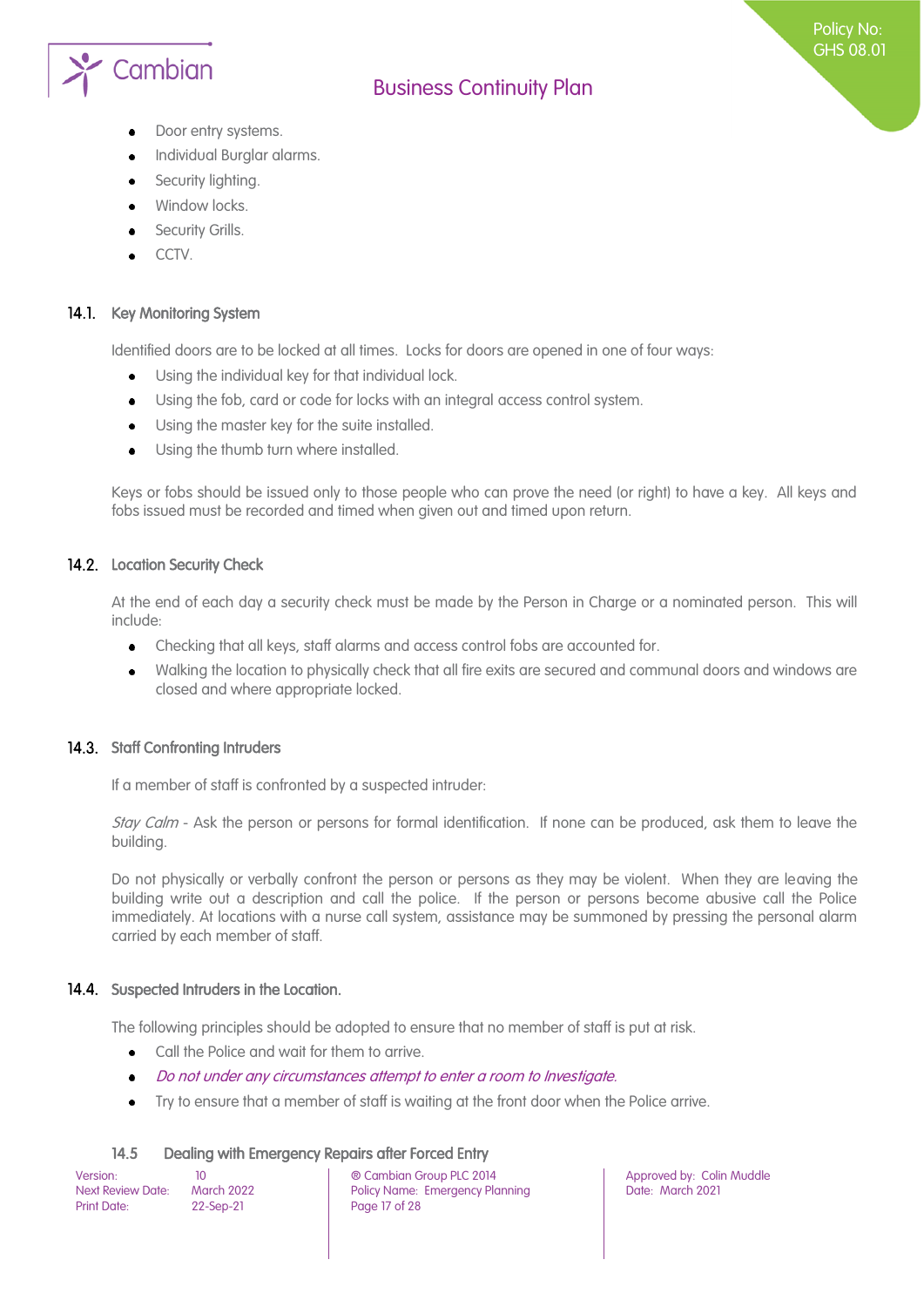

- Door entry systems.
- Individual Burglar alarms.
- Security lighting.
- Window locks.
- Security Grills.
- CCTV.

#### 14.1. Key Monitoring System

Identified doors are to be locked at all times. Locks for doors are opened in one of four ways:

- Using the individual key for that individual lock.  $\bullet$
- Using the fob, card or code for locks with an integral access control system.
- Using the master key for the suite installed.  $\bullet$
- Using the thumb turn where installed.

Keys or fobs should be issued only to those people who can prove the need (or right) to have a key. All keys and fobs issued must be recorded and timed when given out and timed upon return.

#### 14.2. Location Security Check

At the end of each day a security check must be made by the Person in Charge or a nominated person. This will include:

- Checking that all keys, staff alarms and access control fobs are accounted for.  $\bullet$
- Walking the location to physically check that all fire exits are secured and communal doors and windows are  $\bullet$ closed and where appropriate locked.

#### 14.3. Staff Confronting Intruders

If a member of staff is confronted by a suspected intruder:

Stay Calm - Ask the person or persons for formal identification. If none can be produced, ask them to leave the building.

Do not physically or verbally confront the person or persons as they may be violent. When they are leaving the building write out a description and call the police. If the person or persons become abusive call the Police immediately. At locations with a nurse call system, assistance may be summoned by pressing the personal alarm carried by each member of staff.

#### 14.4. Suspected Intruders in the Location.

The following principles should be adopted to ensure that no member of staff is put at risk.

- Call the Police and wait for them to arrive.  $\ddot{\bullet}$
- Do not under any circumstances attempt to enter a room to Investigate.
- Try to ensure that a member of staff is waiting at the front door when the Police arrive.

#### 14.5 Dealing with Emergency Repairs after Forced Entry

| Version:                 | 10                |  |
|--------------------------|-------------------|--|
| <b>Next Review Date:</b> | <b>March 2022</b> |  |
| Print Date:              | 22-Sep-21         |  |

Version: 10 ® Cambian Group PLC 2014 Approved by: Colin Muddle Policy Name: Emergency Planning Page 17 of 28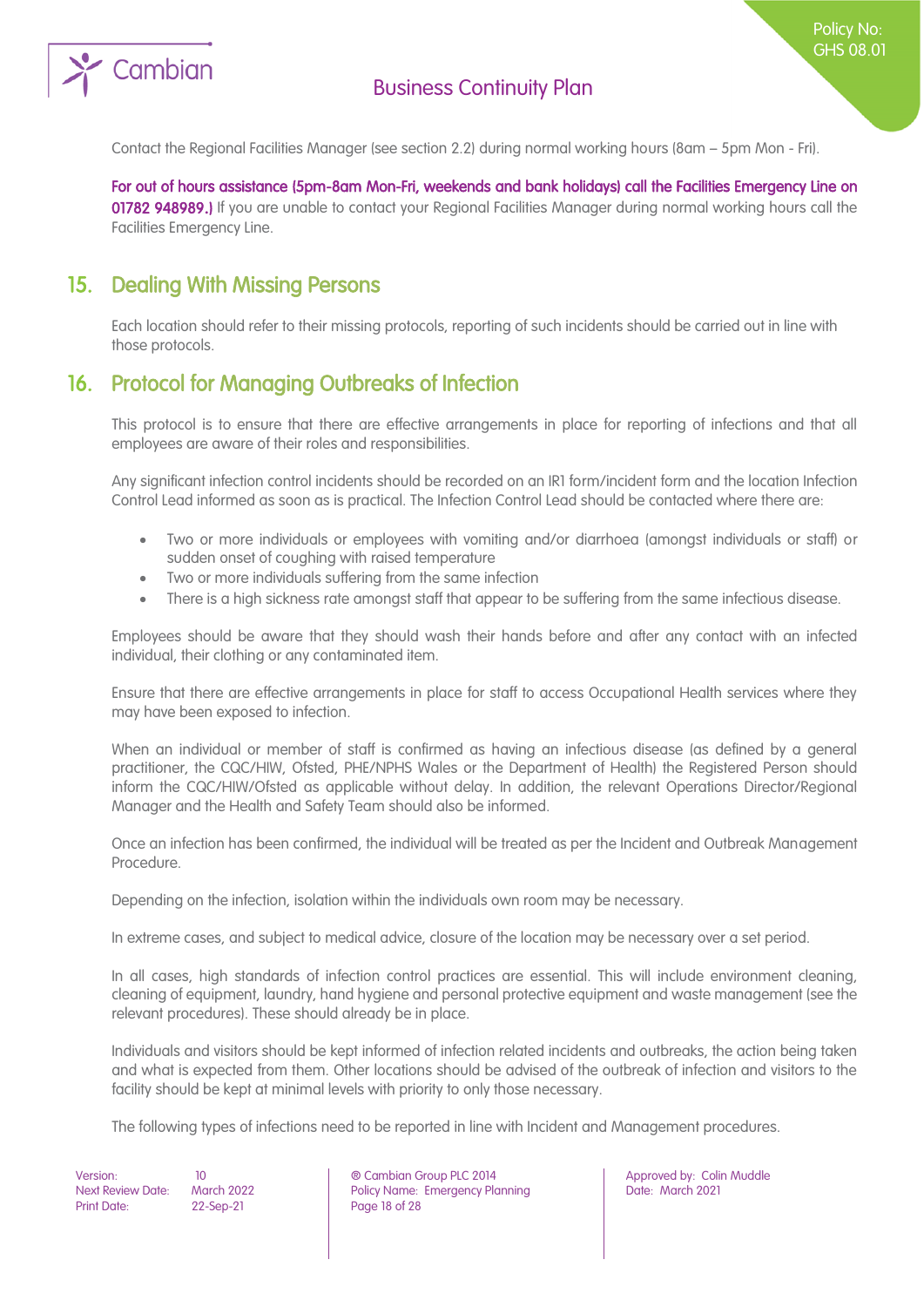

Contact the Regional Facilities Manager (see section 2.2) during normal working hours (8am – 5pm Mon - Fri).

For out of hours assistance (5pm-8am Mon-Fri, weekends and bank holidays) call the Facilities Emergency Line on 01782 948989.) If you are unable to contact your Regional Facilities Manager during normal working hours call the Facilities Emergency Line.

### <span id="page-17-0"></span>15. Dealing With Missing Persons

<span id="page-17-1"></span>Each location should refer to their missing protocols, reporting of such incidents should be carried out in line with those protocols.

### 16. Protocol for Managing Outbreaks of Infection

This protocol is to ensure that there are effective arrangements in place for reporting of infections and that all employees are aware of their roles and responsibilities.

Any significant infection control incidents should be recorded on an IR1 form/incident form and the location Infection Control Lead informed as soon as is practical. The Infection Control Lead should be contacted where there are:

- Two or more individuals or employees with vomiting and/or diarrhoea (amongst individuals or staff) or sudden onset of coughing with raised temperature
- Two or more individuals suffering from the same infection
- There is a high sickness rate amongst staff that appear to be suffering from the same infectious disease.

Employees should be aware that they should wash their hands before and after any contact with an infected individual, their clothing or any contaminated item.

Ensure that there are effective arrangements in place for staff to access Occupational Health services where they may have been exposed to infection.

When an individual or member of staff is confirmed as having an infectious disease (as defined by a general practitioner, the CQC/HIW, Ofsted, PHE/NPHS Wales or the Department of Health) the Registered Person should inform the CQC/HIW/Ofsted as applicable without delay. In addition, the relevant Operations Director/Regional Manager and the Health and Safety Team should also be informed.

Once an infection has been confirmed, the individual will be treated as per the Incident and Outbreak Management Procedure.

Depending on the infection, isolation within the individuals own room may be necessary.

In extreme cases, and subject to medical advice, closure of the location may be necessary over a set period.

In all cases, high standards of infection control practices are essential. This will include environment cleaning, cleaning of equipment, laundry, hand hygiene and personal protective equipment and waste management (see the relevant procedures). These should already be in place.

Individuals and visitors should be kept informed of infection related incidents and outbreaks, the action being taken and what is expected from them. Other locations should be advised of the outbreak of infection and visitors to the facility should be kept at minimal levels with priority to only those necessary.

The following types of infections need to be reported in line with Incident and Management procedures.

Print Date: 22-Sep-21 Page 18 of 28

Version: 10 ® Cambian Group PLC 2014 Approved by: Colin Muddle Next Review Date: March 2022 Policy Name: Emergency Planning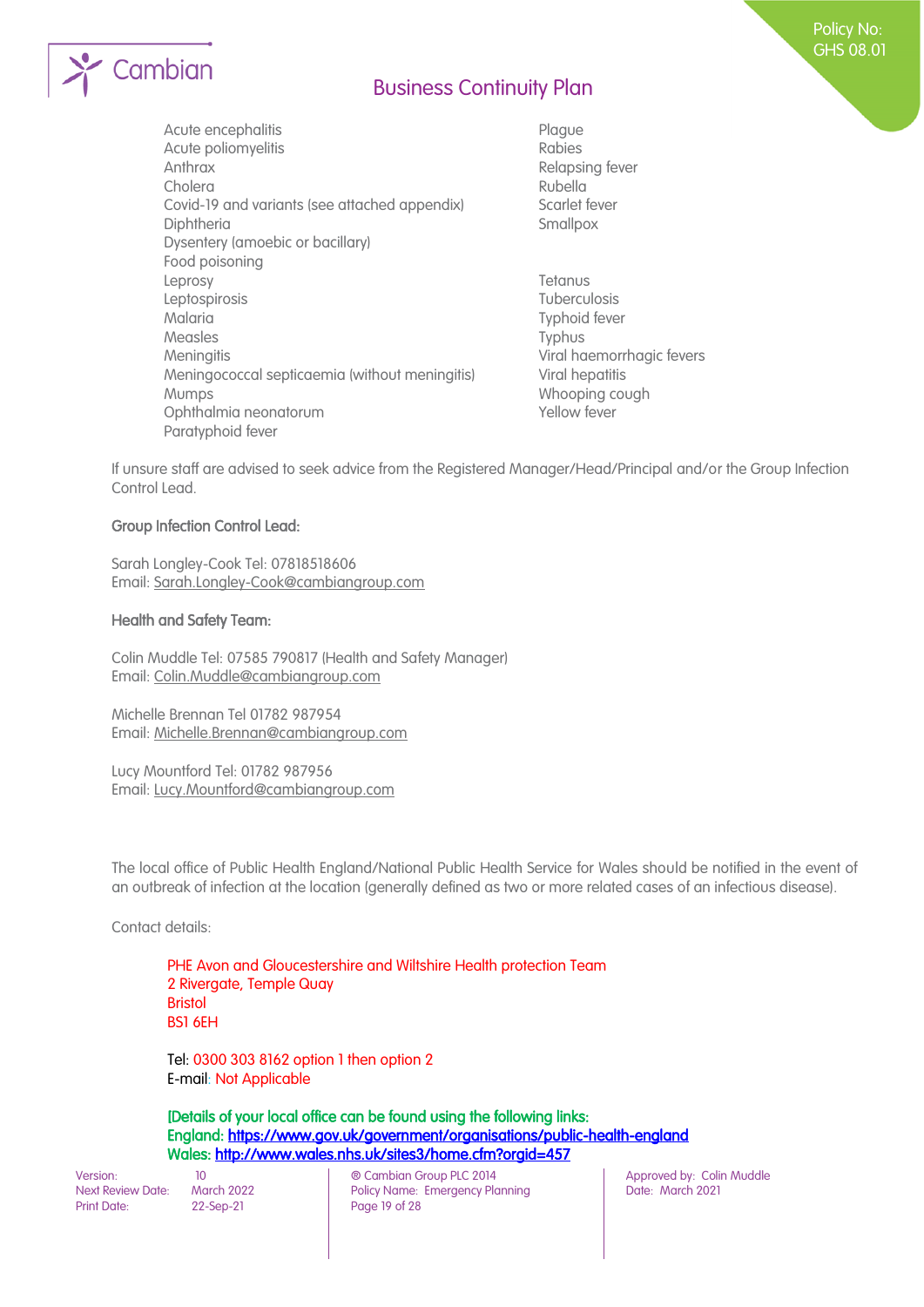

- Acute encephalitis entry and the Plague Acute poliomyelitis and a control of the Rabies Anthrax **Anthrax Relapsing fever** Cholera Rubella Covid-19 and variants (see attached appendix) Scarlet fever Diphtheria Smallpox Dysentery (amoebic or bacillary) Food poisoning Leprosy Tetanus Leptospirosis Tuberculosis Malaria Typhoid fever Measles Typhus Meningitis **Meningitis** Viral haemorrhagic fevers Meningococcal septicaemia (without meningitis) Viral hepatitis Mumps **Mumps** Whooping cough Ophthalmia neonatorum and the state of the Yellow fever Paratyphoid fever
	-

If unsure staff are advised to seek advice from the Registered Manager/Head/Principal and/or the Group Infection Control Lead.

#### Group Infection Control Lead:

Sarah Longley-Cook Tel: 07818518606 Email: Sarah.Longley-Cook@cambiangroup.com

#### Health and Safety Team:

Colin Muddle Tel: 07585 790817 (Health and Safety Manager) Email: Colin.Muddle@cambiangroup.com

Michelle Brennan Tel 01782 987954 Email: Michelle.Brennan@cambiangroup.com

Lucy Mountford Tel: 01782 987956 Email: Lucy.Mountford@cambiangroup.com

The local office of Public Health England/National Public Health Service for Wales should be notified in the event of an outbreak of infection at the location (generally defined as two or more related cases of an infectious disease).

Contact details:

PHE Avon and Gloucestershire and Wiltshire Health protection Team 2 Rivergate, Temple Quay Bristol BS1 6EH

Tel: 0300 303 8162 option 1 then option 2 E-mail: Not Applicable

[Details of your local office can be found using the following links: England:<https://www.gov.uk/government/organisations/public-health-england> Wales[: http://www.wales.nhs.uk/sites3/home.cfm?orgid=457](http://www.wales.nhs.uk/sites3/home.cfm?orgid=457) 

Print Date: 22-Sep-21 Page 19 of 28

Version: 10 10 10 (© Cambian Group PLC 2014 Approved by: Colin Muddle<br>Next Review Date: March 2022 Policy Name: Emergency Planning Date: March 2021 Policy Name: Emergency Planning

Policy No: GHS 08.01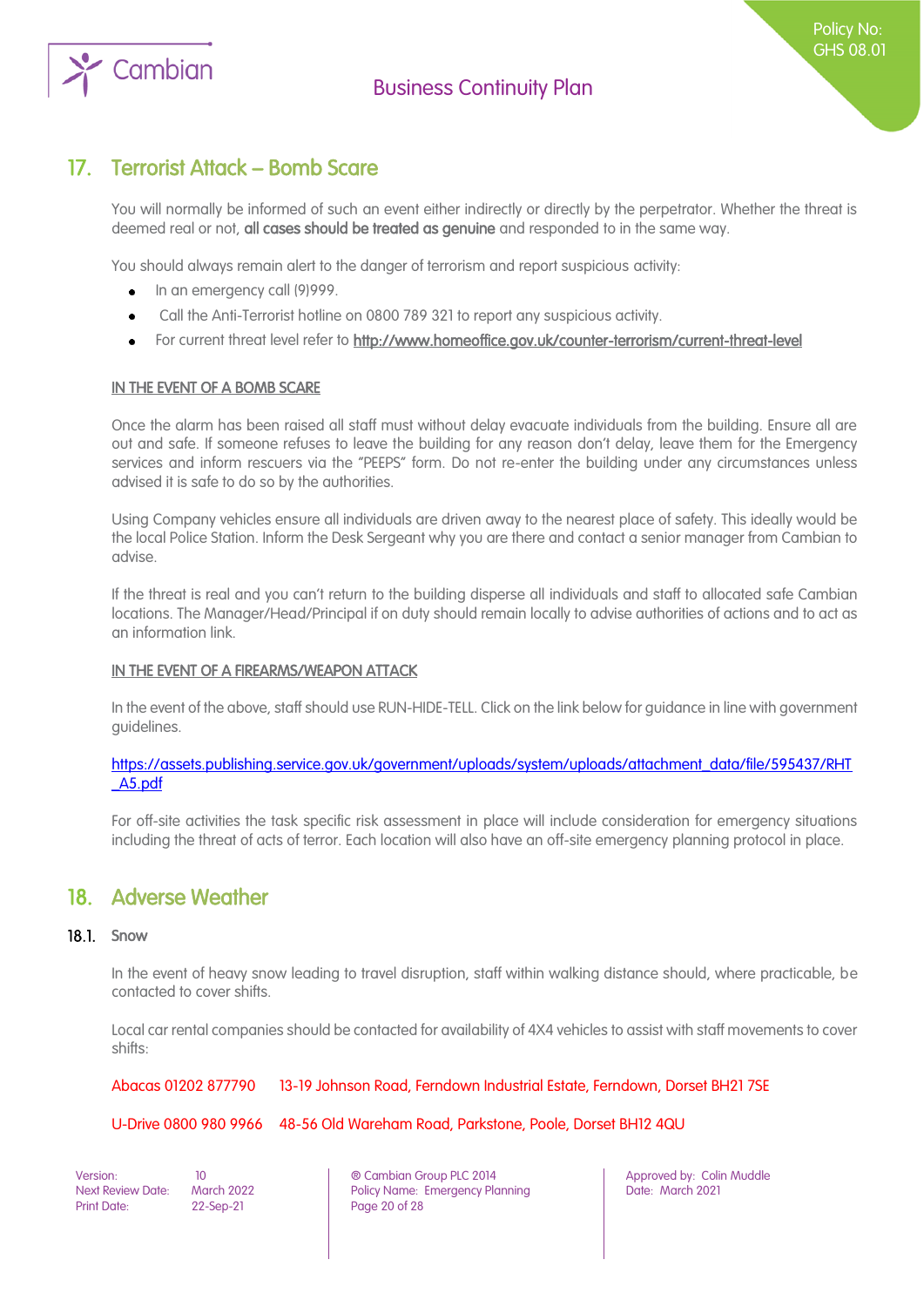

### <span id="page-19-0"></span>17. Terrorist Attack – Bomb Scare

You will normally be informed of such an event either indirectly or directly by the perpetrator. Whether the threat is deemed real or not, all cases should be treated as genuine and responded to in the same way.

You should always remain alert to the danger of terrorism and report suspicious activity:

- In an emergency call (9)999.  $\bullet$
- Call the Anti-Terrorist hotline on 0800 789 321 to report any suspicious activity.
- For current threat level refer to http://www.homeoffice.gov.uk/counter-terrorism/current-threat-level  $\bullet$

#### IN THE EVENT OF A BOMB SCARE

Once the alarm has been raised all staff must without delay evacuate individuals from the building. Ensure all are out and safe. If someone refuses to leave the building for any reason don't delay, leave them for the Emergency services and inform rescuers via the "PEEPS" form. Do not re-enter the building under any circumstances unless advised it is safe to do so by the authorities.

Using Company vehicles ensure all individuals are driven away to the nearest place of safety. This ideally would be the local Police Station. Inform the Desk Sergeant why you are there and contact a senior manager from Cambian to advise.

If the threat is real and you can't return to the building disperse all individuals and staff to allocated safe Cambian locations. The Manager/Head/Principal if on duty should remain locally to advise authorities of actions and to act as an information link.

#### IN THE EVENT OF A FIREARMS/WEAPON ATTACK

In the event of the above, staff should use RUN-HIDE-TELL. Click on the link below for guidance in line with government guidelines.

#### [https://assets.publishing.service.gov.uk/government/uploads/system/uploads/attachment\\_data/file/595437/RHT](https://assets.publishing.service.gov.uk/government/uploads/system/uploads/attachment_data/file/595437/RHT_A5.pdf) [\\_A5.pdf](https://assets.publishing.service.gov.uk/government/uploads/system/uploads/attachment_data/file/595437/RHT_A5.pdf)

For off-site activities the task specific risk assessment in place will include consideration for emergency situations including the threat of acts of terror. Each location will also have an off-site emergency planning protocol in place.

### <span id="page-19-1"></span>18. Adverse Weather

#### 18.1. Snow

In the event of heavy snow leading to travel disruption, staff within walking distance should, where practicable, be contacted to cover shifts.

Local car rental companies should be contacted for availability of 4X4 vehicles to assist with staff movements to cover shifts:

Abacas 01202 877790 13-19 Johnson Road, Ferndown Industrial Estate, Ferndown, Dorset BH21 7SE

#### U-Drive 0800 980 9966 48-56 Old Wareham Road, Parkstone, Poole, Dorset BH12 4QU

Print Date: 22-Sep-21 Page 20 of 28

Version: 10 ® Cambian Group PLC 2014 Approved by: Colin Muddle Next Review Date: March 2022 **Policy Name: Emergency Planning Particle 2021** Date: March 2021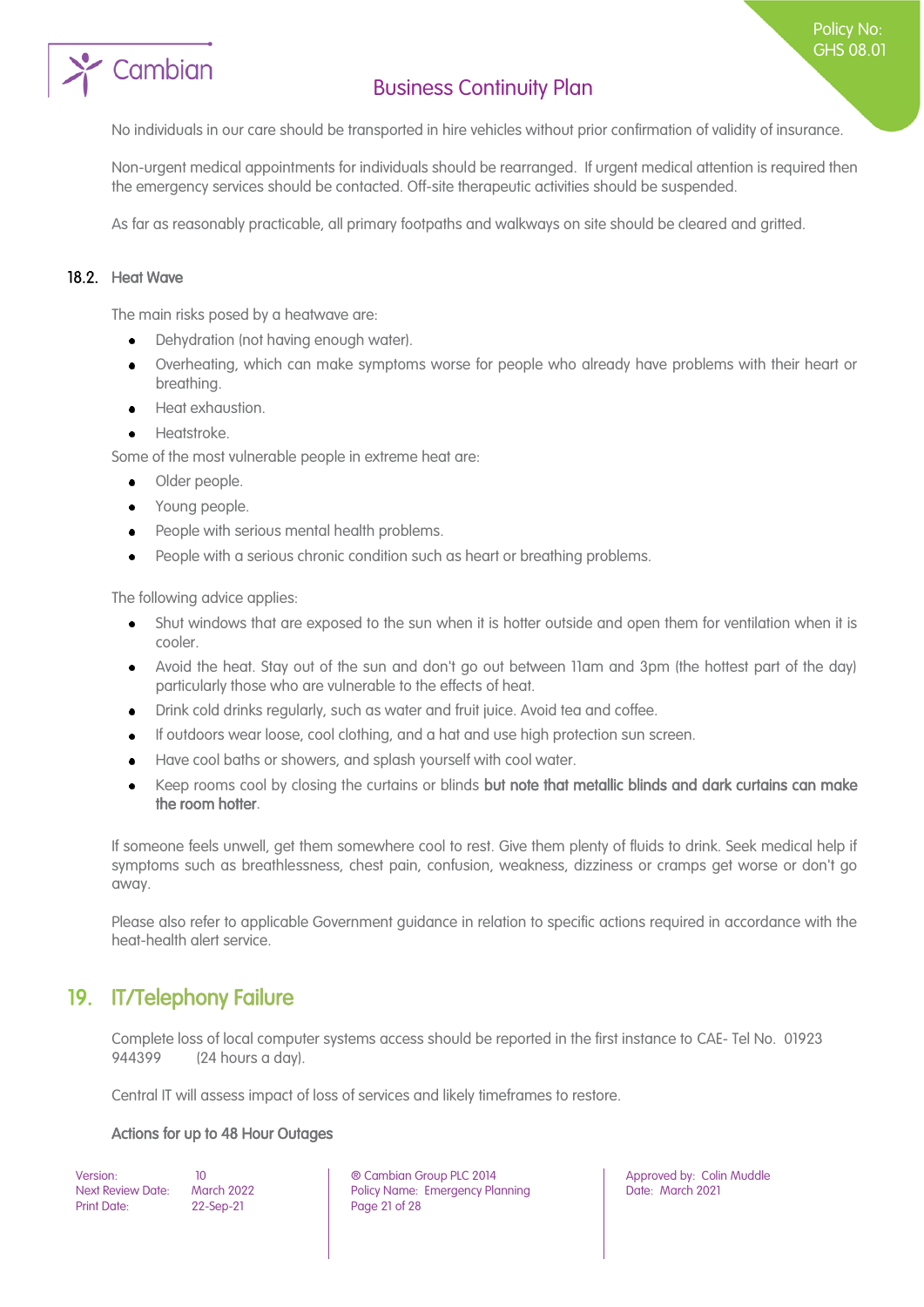# Cambian

## Business Continuity Plan

No individuals in our care should be transported in hire vehicles without prior confirmation of validity of insurance.

Non-urgent medical appointments for individuals should be rearranged. If urgent medical attention is required then the emergency services should be contacted. Off-site therapeutic activities should be suspended.

As far as reasonably practicable, all primary footpaths and walkways on site should be cleared and gritted.

#### 18.2. Heat Wave

The main risks posed by a heatwave are:

- Dehydration (not having enough water).  $\bullet$
- Overheating, which can make symptoms worse for people who already have problems with their heart or breathing.
- Heat exhaustion.
- Heatstroke.

Some of the most vulnerable people in extreme heat are:

- Older people.  $\bullet$
- Young people.
- People with serious mental health problems.
- People with a serious chronic condition such as heart or breathing problems.

The following advice applies:

- $\bullet$ Shut windows that are exposed to the sun when it is hotter outside and open them for ventilation when it is cooler.
- Avoid the heat. Stay out of the sun and don't go out between 11am and 3pm (the hottest part of the day)  $\bullet$ particularly those who are vulnerable to the effects of heat.
- Drink cold drinks regularly, such as water and fruit juice. Avoid tea and coffee.
- If outdoors wear loose, cool clothing, and a hat and use high protection sun screen.
- Have cool baths or showers, and splash yourself with cool water.  $\bullet$
- Keep rooms cool by closing the curtains or blinds but note that metallic blinds and dark curtains can make the room hotter.

If someone feels unwell, get them somewhere cool to rest. Give them plenty of fluids to drink. Seek medical help if symptoms such as breathlessness, chest pain, confusion, weakness, dizziness or cramps get worse or don't go away.

Please also refer to applicable Government guidance in relation to specific actions required in accordance with the heat-health alert service.

## <span id="page-20-0"></span>19. IT/Telephony Failure

Complete loss of local computer systems access should be reported in the first instance to CAE- Tel No. 01923 944399 (24 hours a day).

Central IT will assess impact of loss of services and likely timeframes to restore.

#### Actions for up to 48 Hour Outages

Print Date: 22-Sep-21 Page 21 of 28

Version: 10 ® Cambian Group PLC 2014 Approved by: Colin Muddle Next Review Date: March 2022 **Policy Name: Emergency Planning Particle 2021** Date: March 2021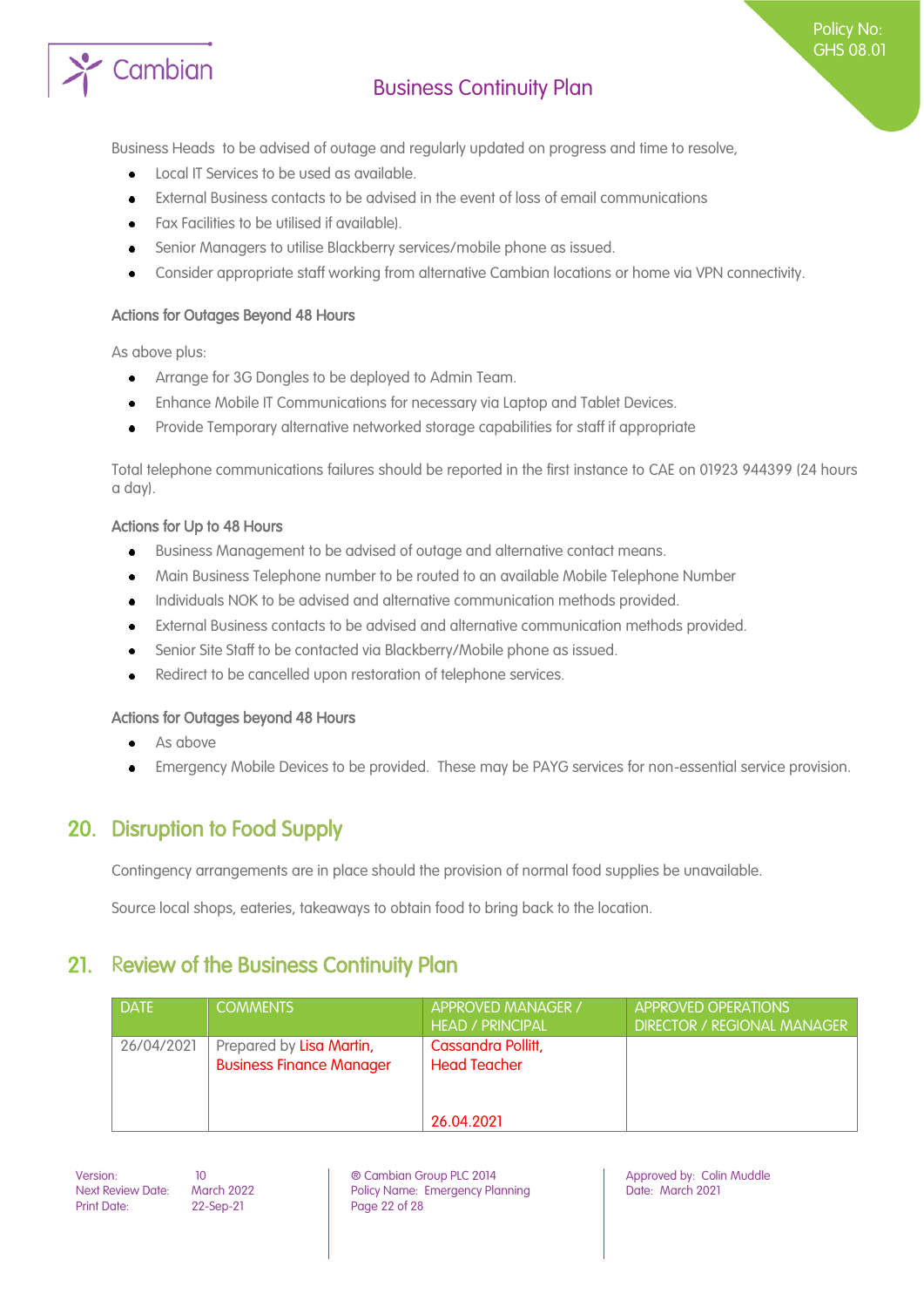

Policy No: GHS 08.01

Business Heads to be advised of outage and regularly updated on progress and time to resolve,

- Local IT Services to be used as available.
- External Business contacts to be advised in the event of loss of email communications
- Fax Facilities to be utilised if available).
- Senior Managers to utilise Blackberry services/mobile phone as issued.
- Consider appropriate staff working from alternative Cambian locations or home via VPN connectivity.

#### Actions for Outages Beyond 48 Hours

As above plus:

- Arrange for 3G Dongles to be deployed to Admin Team.  $\bullet$
- Enhance Mobile IT Communications for necessary via Laptop and Tablet Devices.
- Provide Temporary alternative networked storage capabilities for staff if appropriate  $\bullet$

Total telephone communications failures should be reported in the first instance to CAE on 01923 944399 (24 hours a day).

#### Actions for Up to 48 Hours

- Business Management to be advised of outage and alternative contact means.  $\bullet$
- Main Business Telephone number to be routed to an available Mobile Telephone Number
- Individuals NOK to be advised and alternative communication methods provided.
- External Business contacts to be advised and alternative communication methods provided.
- Senior Site Staff to be contacted via Blackberry/Mobile phone as issued.
- Redirect to be cancelled upon restoration of telephone services.

#### Actions for Outages beyond 48 Hours

- As above  $\bullet$
- Emergency Mobile Devices to be provided. These may be PAYG services for non-essential service provision.

### <span id="page-21-0"></span>20. Disruption to Food Supply

Contingency arrangements are in place should the provision of normal food supplies be unavailable.

<span id="page-21-1"></span>Source local shops, eateries, takeaways to obtain food to bring back to the location.

### 21. Review of the Business Continuity Plan

| <b>DATE</b> | <b>COMMENTS</b>                                             | <b>APPROVED MANAGER /</b>                 | APPROVED OPERATIONS                |
|-------------|-------------------------------------------------------------|-------------------------------------------|------------------------------------|
|             |                                                             | <b>HEAD / PRINCIPAL</b>                   | <b>DIRECTOR / REGIONAL MANAGER</b> |
| 26/04/2021  | Prepared by Lisa Martin,<br><b>Business Finance Manager</b> | Cassandra Pollitt,<br><b>Head Teacher</b> |                                    |
|             |                                                             | 26.04.2021                                |                                    |

Print Date: 22-Sep-21 Page 22 of 28

Version: 10 ® Cambian Group PLC 2014 Approved by: Colin Muddle Next Review Date: March 2022 Policy Name: Emergency Planning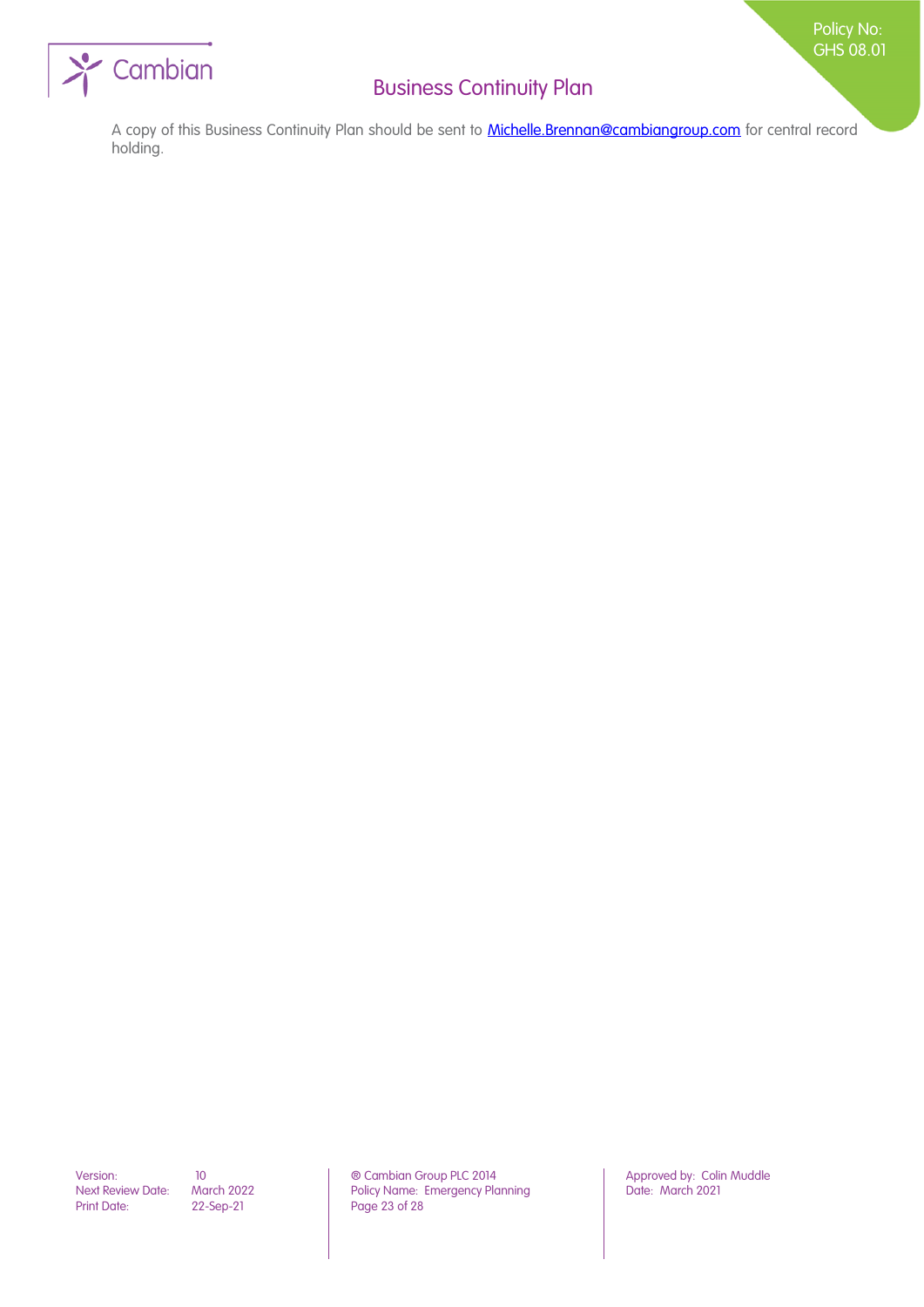

A copy of this Business Continuity Plan should be sent to **Michelle.Brennan@cambiangroup.com** for central record holding.

Print Date: 22-Sep-21 Page 23 of 28

Version: 10 10 10 **10 © Cambian Group PLC 2014** Approved by: Colin Muddle<br>Next Review Date: March 2022 Policy Name: Emergency Planning Date: March 2021 March 2022 Policy Name: Emergency Planning<br>22-Sep-21 Page 23 of 28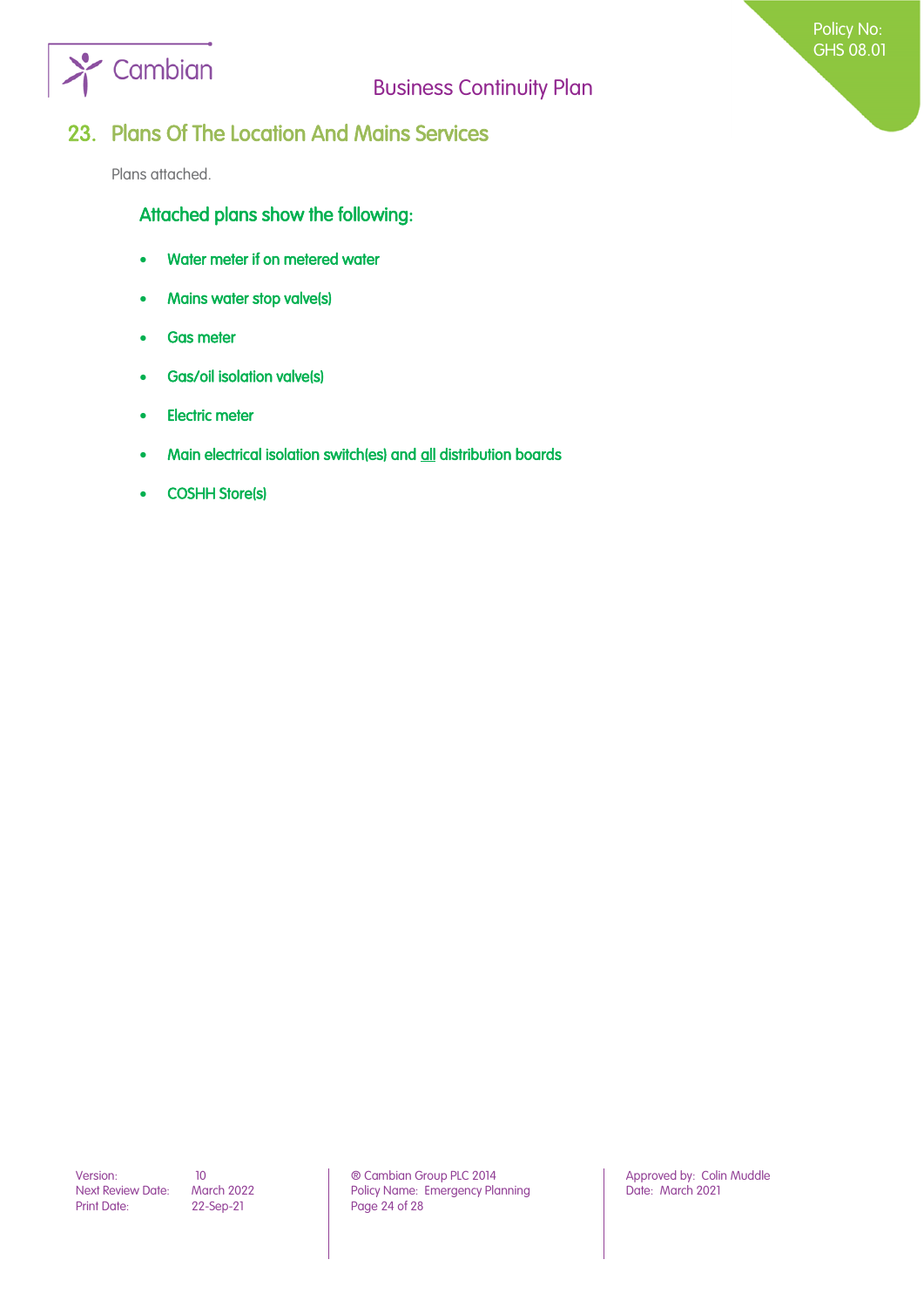

### Policy No: GHS 08.01

### <span id="page-23-0"></span>23. Plans Of The Location And Mains Services

Plans attached.

Attached plans show the following:

- Water meter if on metered water
- Mains water stop valve(s)
- Gas meter
- Gas/oil isolation valve(s)
- Electric meter
- Main electrical isolation switch(es) and all distribution boards
- COSHH Store(s)

Print Date: 22-Sep-21 Page 24 of 28

Version: 10 10 10 **Detail Combian Group PLC 2014** Approved by: Colin Muddle<br>Next Review Date: March 2022 Policy Name: Emergency Planning Date: March 2021 Policy Name: Emergency Planning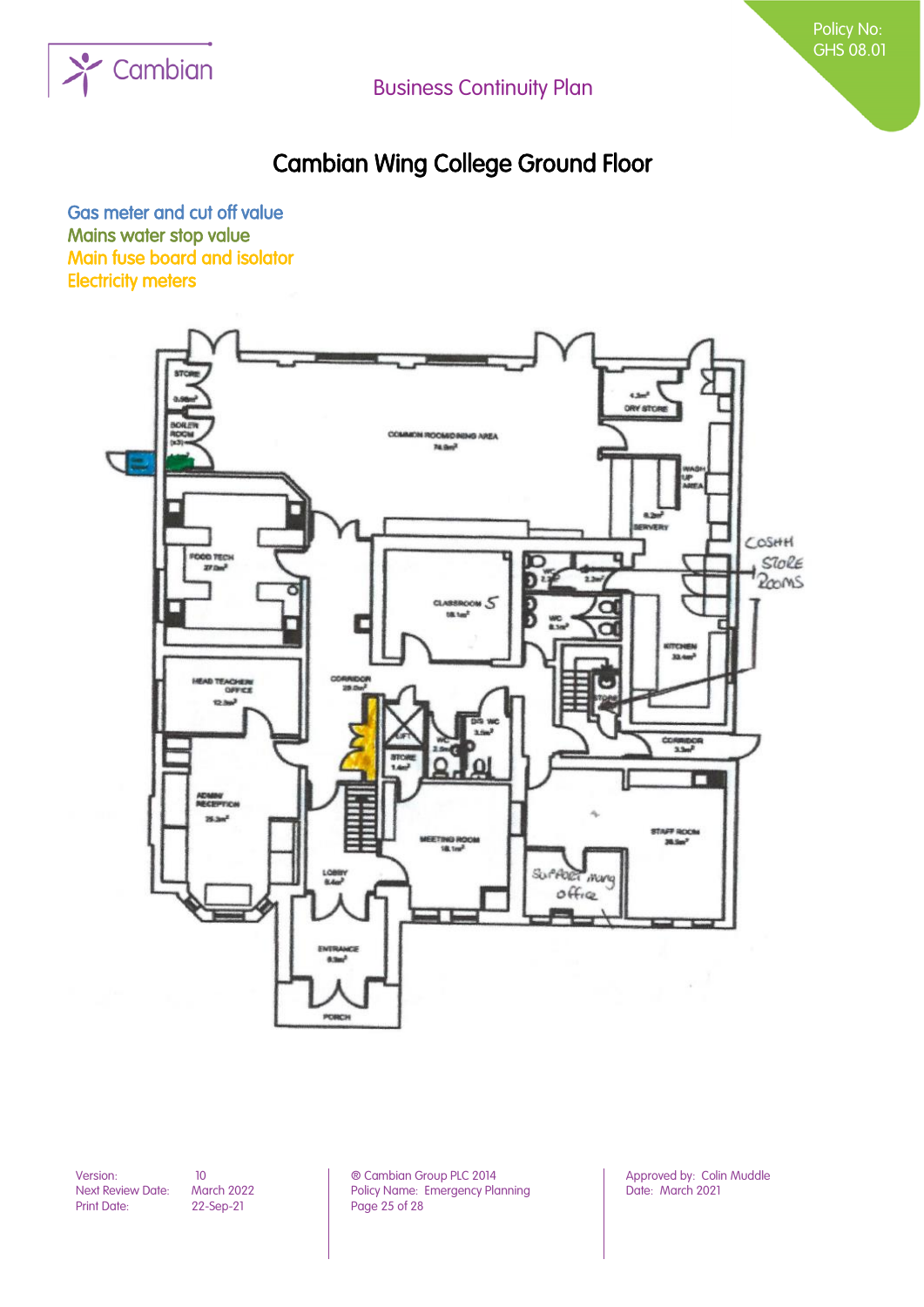

# Cambian Wing College Ground Floor

Gas meter and cut off value Mains water stop value Main fuse board and isolator Electricity meters



Print Date: 22-Sep-21 Page 25 of 28

Version: 10 10 10 **Detail Combian Group PLC 2014** Approved by: Colin Muddle<br>Next Review Date: March 2022 Policy Name: Emergency Planning Date: March 2021 March 2022 Policy Name: Emergency Planning<br>22-Sep-21 Page 25 of 28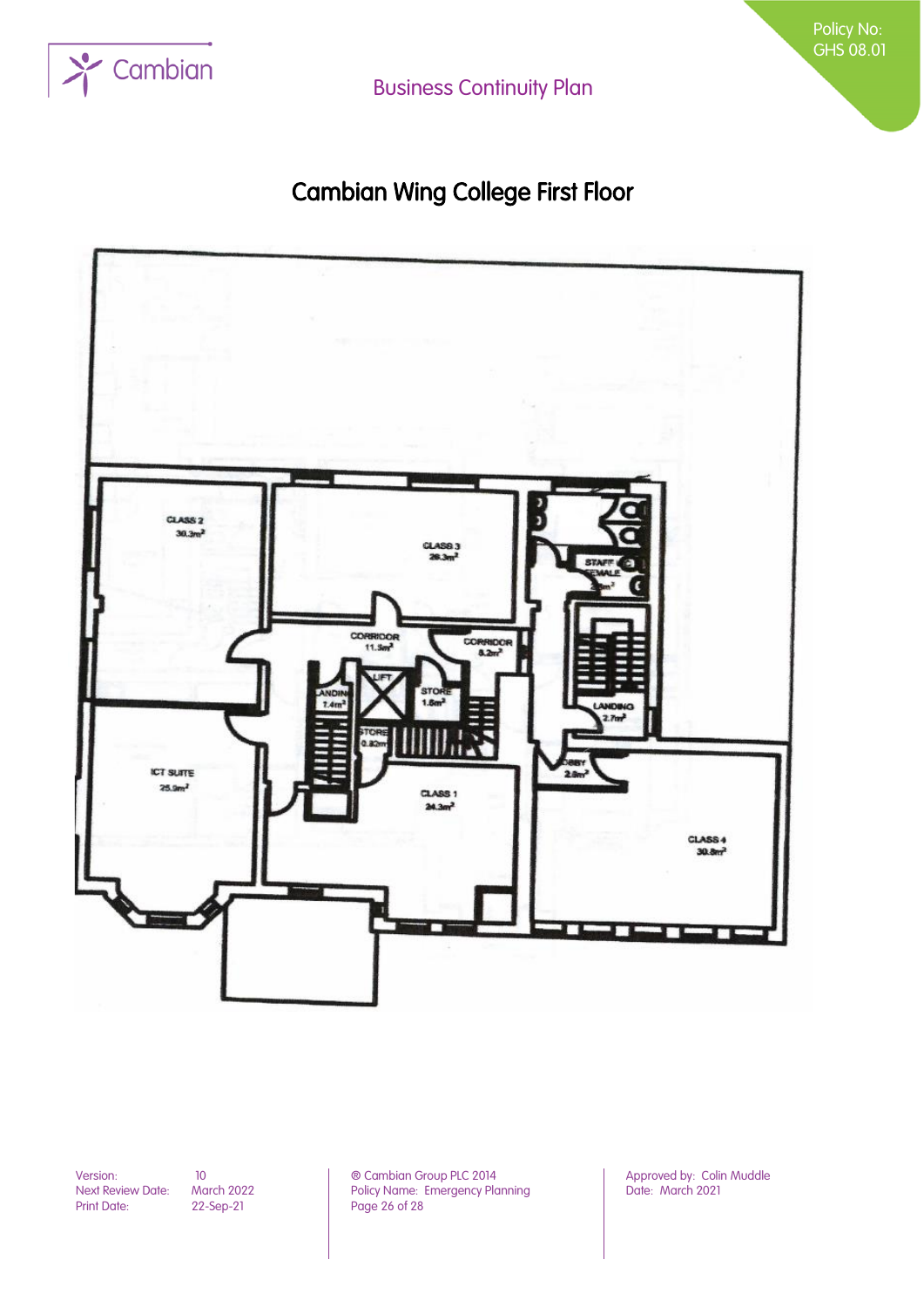

Policy No: GHS 08.01

# Cambian Wing College First Floor



Version: 10 10 10 **in the Cambian Group PLC 2014** Approved by: Colin Muddle Next Review Date: March 2022 **Policy Name: Emergency Planning** Next Review Date: March 2022 Policy Name: Emergency Planning<br>Print Date: 22-Sep-21 Page 26 of 28 Page 26 of 28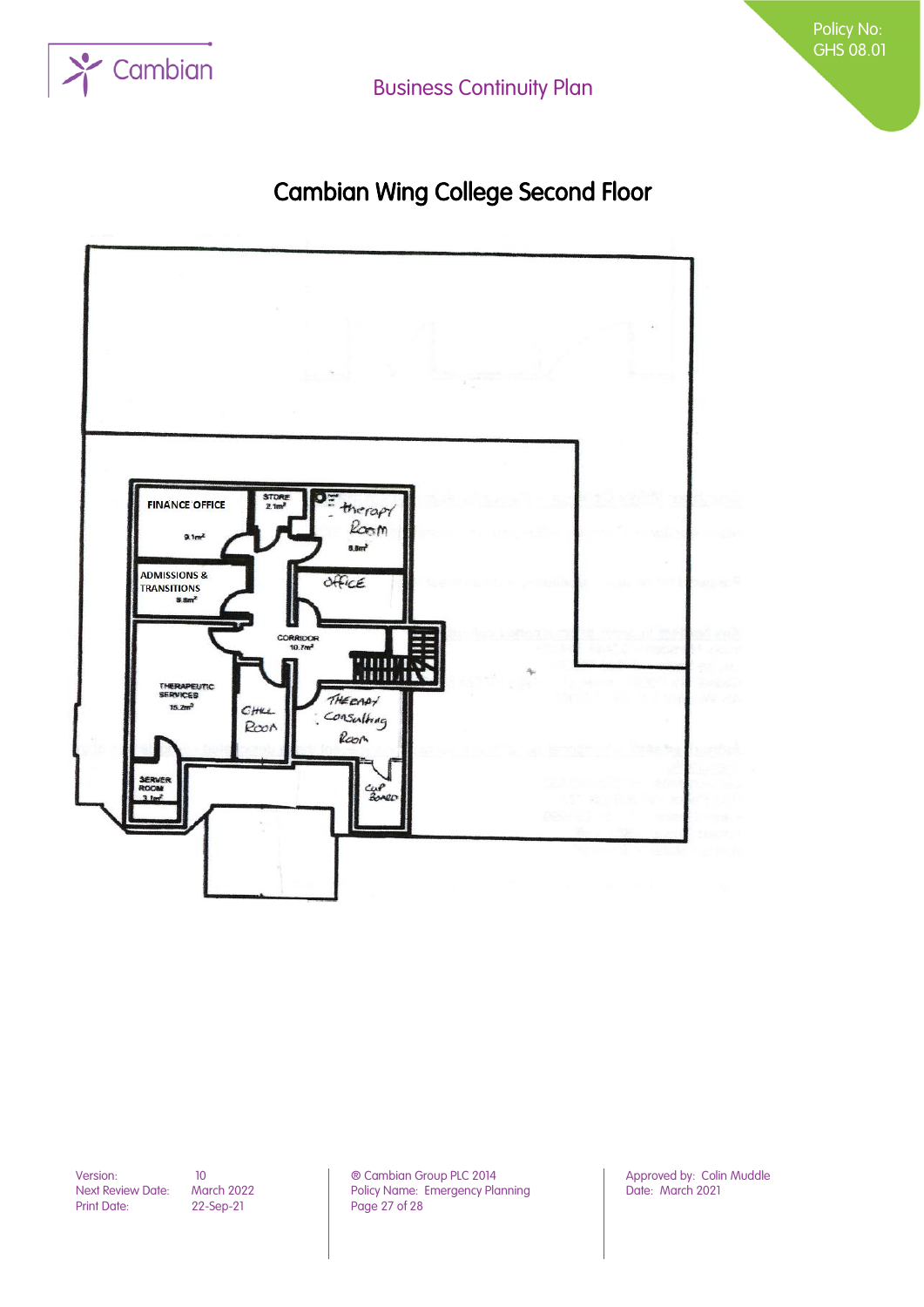

# Cambian Wing College Second Floor



Print Date: 22-Sep-21 Page 27 of 28

Version: 10 10 10 **Detail Combian Group PLC 2014** Approved by: Colin Muddle<br>Next Review Date: March 2022 Policy Name: Emergency Planning Date: March 2021 March 2022 Policy Name: Emergency Planning<br>22-Sep-21 Page 27 of 28